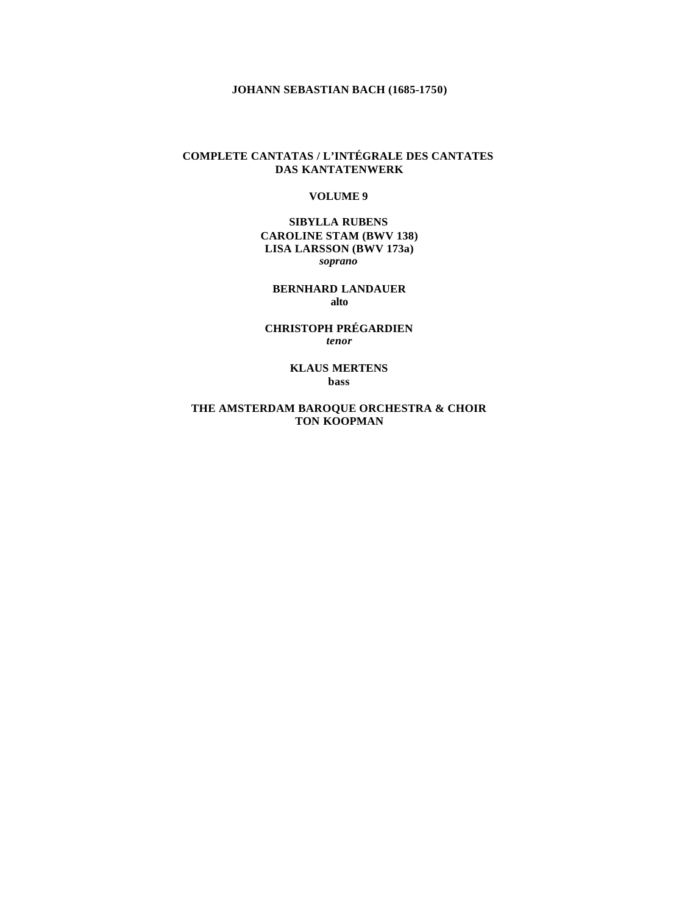# **JOHANN SEBASTIAN BACH (1685-1750)**

# **COMPLETE CANTATAS / L'INTÉGRALE DES CANTATES DAS KANTATENWERK**

#### **VOLUME 9**

**SIBYLLA RUBENS CAROLINE STAM (BWV 138) LISA LARSSON (BWV 173a)** *soprano*

**BERNHARD LANDAUER alto**

**CHRISTOPH PRÉGARDIEN** *tenor*

> **KLAUS MERTENS bass**

**THE AMSTERDAM BAROQUE ORCHESTRA & CHOIR TON KOOPMAN**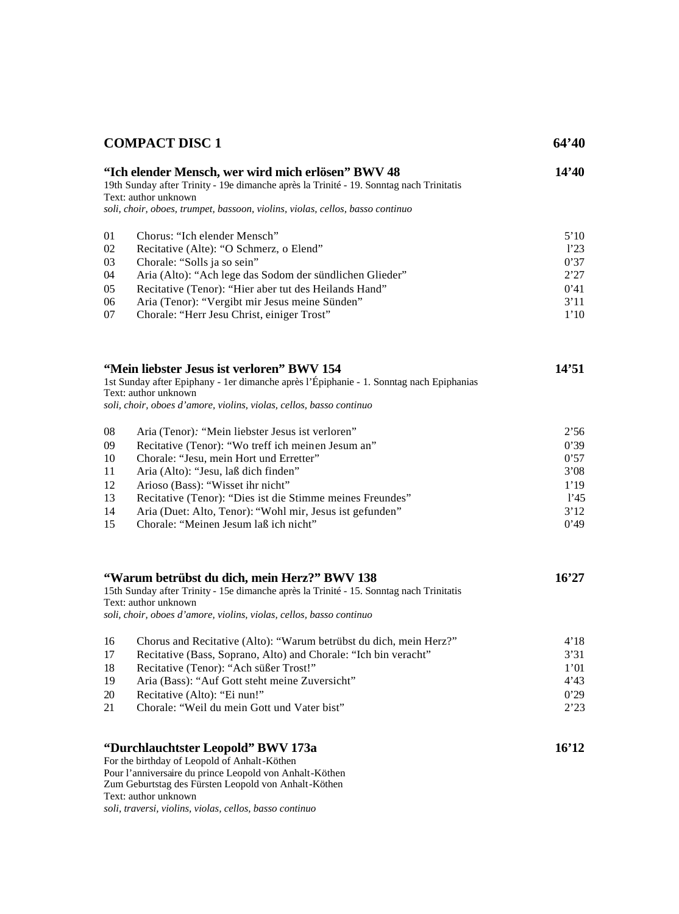|                                              | <b>COMPACT DISC 1</b>                                                                                                                                                                                                                                                                                                                                                                            | 64'40                                                        |
|----------------------------------------------|--------------------------------------------------------------------------------------------------------------------------------------------------------------------------------------------------------------------------------------------------------------------------------------------------------------------------------------------------------------------------------------------------|--------------------------------------------------------------|
|                                              | "Ich elender Mensch, wer wird mich erlösen" BWV 48<br>19th Sunday after Trinity - 19e dimanche après la Trinité - 19. Sonntag nach Trinitatis<br>Text: author unknown<br>soli, choir, oboes, trumpet, bassoon, violins, violas, cellos, basso continuo                                                                                                                                           | 14'40                                                        |
| 01<br>02<br>03<br>04<br>05<br>06<br>07       | Chorus: "Ich elender Mensch"<br>Recitative (Alte): "O Schmerz, o Elend"<br>Chorale: "Solls ja so sein"<br>Aria (Alto): "Ach lege das Sodom der sündlichen Glieder"<br>Recitative (Tenor): "Hier aber tut des Heilands Hand"<br>Aria (Tenor): "Vergibt mir Jesus meine Sünden"<br>Chorale: "Herr Jesu Christ, einiger Trost"                                                                      | 5'10<br>1'23<br>0'37<br>2'27<br>0'41<br>3'11<br>1'10         |
|                                              | "Mein liebster Jesus ist verloren" BWV 154<br>1st Sunday after Epiphany - 1er dimanche après l'Épiphanie - 1. Sonntag nach Epiphanias<br>Text: author unknown<br>soli, choir, oboes d'amore, violins, violas, cellos, basso continuo                                                                                                                                                             | 14'51                                                        |
| 08<br>09<br>10<br>11<br>12<br>13<br>14<br>15 | Aria (Tenor): "Mein liebster Jesus ist verloren"<br>Recitative (Tenor): "Wo treff ich meinen Jesum an"<br>Chorale: "Jesu, mein Hort und Erretter"<br>Aria (Alto): "Jesu, laß dich finden"<br>Arioso (Bass): "Wisset ihr nicht"<br>Recitative (Tenor): "Dies ist die Stimme meines Freundes"<br>Aria (Duet: Alto, Tenor): "Wohl mir, Jesus ist gefunden"<br>Chorale: "Meinen Jesum laß ich nicht" | 2'56<br>0'39<br>0'57<br>3'08<br>1'19<br>1'45<br>3'12<br>0'49 |
|                                              | "Warum betrübst du dich, mein Herz?" BWV 138<br>15th Sunday after Trinity - 15e dimanche après la Trinité - 15. Sonntag nach Trinitatis<br>Text: author unknown<br>soli, choir, oboes d'amore, violins, violas, cellos, basso continuo                                                                                                                                                           | 16'27                                                        |
| 16<br>17<br>18<br>19<br>20<br>21             | Chorus and Recitative (Alto): "Warum betrübst du dich, mein Herz?"<br>Recitative (Bass, Soprano, Alto) and Chorale: "Ich bin veracht"<br>Recitative (Tenor): "Ach süßer Trost!"<br>Aria (Bass): "Auf Gott steht meine Zuversicht"<br>Recitative (Alto): "Ei nun!"<br>Chorale: "Weil du mein Gott und Vater bist"                                                                                 | 4'18<br>3'31<br>1'01<br>4'3<br>0'29<br>2'23                  |
|                                              | "Durchlauchtster Leopold" BWV 173a<br>For the birthday of Leopold of Anhalt-Köthen<br>Pour l'anniversaire du prince Leopold von Anhalt-Köthen<br>Zum Geburtstag des Fürsten Leopold von Anhalt-Köthen<br>Text: author unknown<br>soli, traversi, violins, violas, cellos, basso continuo                                                                                                         | 16'12                                                        |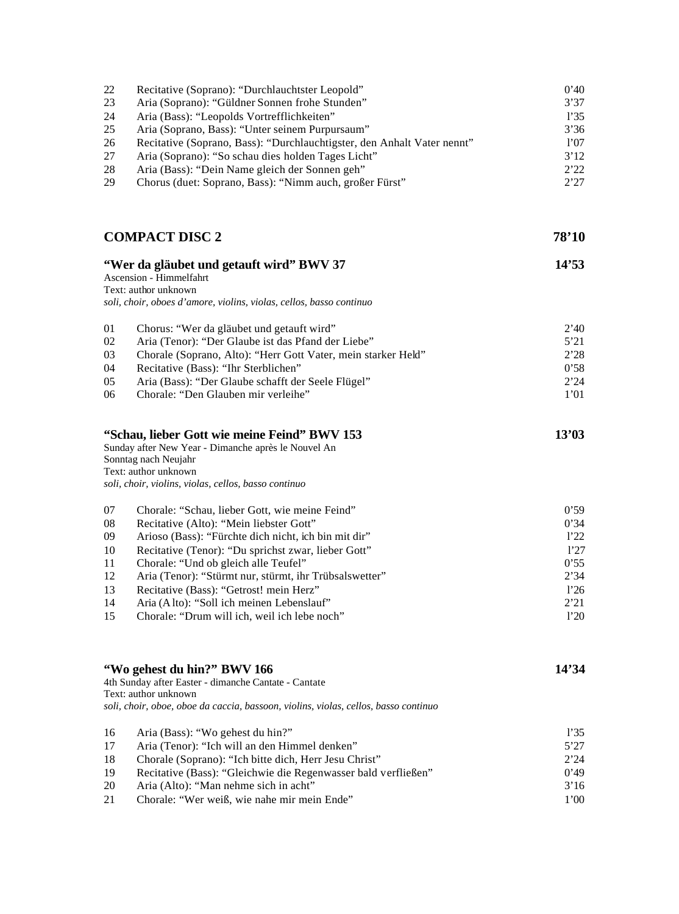| 22         | Recitative (Soprano): "Durchlauchtster Leopold"                                                                                                                                                             | 0'40  |
|------------|-------------------------------------------------------------------------------------------------------------------------------------------------------------------------------------------------------------|-------|
| 23         | Aria (Soprano): "Güldner Sonnen frohe Stunden"                                                                                                                                                              | 3'37  |
| 24         | Aria (Bass): "Leopolds Vortrefflichkeiten"                                                                                                                                                                  | 1'35  |
| 25         | Aria (Soprano, Bass): "Unter seinem Purpursaum"                                                                                                                                                             | 3'36  |
| 26         | Recitative (Soprano, Bass): "Durchlauchtigster, den Anhalt Vater nennt"                                                                                                                                     | 1'07  |
| 27         | Aria (Soprano): "So schau dies holden Tages Licht"                                                                                                                                                          | 3'12  |
| 28         | Aria (Bass): "Dein Name gleich der Sonnen geh"                                                                                                                                                              | 2'22  |
| 29         | Chorus (duet: Soprano, Bass): "Nimm auch, großer Fürst"                                                                                                                                                     | 2'27  |
|            | <b>COMPACT DISC 2</b>                                                                                                                                                                                       | 78'10 |
|            | "Wer da gläubet und getauft wird" BWV 37<br>Ascension - Himmelfahrt<br>Text: author unknown<br>soli, choir, oboes d'amore, violins, violas, cellos, basso continuo                                          | 14'53 |
| 01         | Chorus: "Wer da gläubet und getauft wird"                                                                                                                                                                   | 2'40  |
| 02         | Aria (Tenor): "Der Glaube ist das Pfand der Liebe"                                                                                                                                                          | 5'21  |
| 03         | Chorale (Soprano, Alto): "Herr Gott Vater, mein starker Held"                                                                                                                                               | 2'28  |
| 04         | Recitative (Bass): "Ihr Sterblichen"                                                                                                                                                                        | 0'58  |
| 05         | Aria (Bass): "Der Glaube schafft der Seele Flügel"                                                                                                                                                          | 2'24  |
| 06         | Chorale: "Den Glauben mir verleihe"                                                                                                                                                                         | 1'01  |
|            | "Schau, lieber Gott wie meine Feind" BWV 153<br>Sunday after New Year - Dimanche après le Nouvel An<br>Sonntag nach Neujahr<br>Text: author unknown<br>soli, choir, violins, violas, cellos, basso continuo | 13'03 |
| 07         | Chorale: "Schau, lieber Gott, wie meine Feind"                                                                                                                                                              | 0'59  |
| ${\bf 08}$ | Recitative (Alto): "Mein liebster Gott"                                                                                                                                                                     | 0'34  |
| 09         | Arioso (Bass): "Fürchte dich nicht, ich bin mit dir"                                                                                                                                                        | 1'22  |
| 10         | Recitative (Tenor): "Du sprichst zwar, lieber Gott"                                                                                                                                                         | 1'27  |
| 11         | Chorale: "Und ob gleich alle Teufel"                                                                                                                                                                        | 0'55  |
| 12         | Aria (Tenor): "Stürmt nur, stürmt, ihr Trübsalswetter"                                                                                                                                                      | 2'34  |
| 13         | Recitative (Bass): "Getrost! mein Herz"                                                                                                                                                                     | 1'26  |
| 14         | Aria (Alto): "Soll ich meinen Lebenslauf"                                                                                                                                                                   | 2'21  |
| 15         | Chorale: "Drum will ich, weil ich lebe noch"                                                                                                                                                                | 1'20  |
|            | "Wo gehest du hin?" BWV 166<br>4th Sunday after Easter - dimanche Cantate - Cantate<br>Text: author unknown<br>soli, choir, oboe, oboe da caccia, bassoon, violins, violas, cellos, basso continuo          | 14'34 |
| 16         | Aria (Bass): "Wo gehest du hin?"                                                                                                                                                                            | 1'35  |
| 17         | Aria (Tenor): "Ich will an den Himmel denken"                                                                                                                                                               | 5'27  |
| 18         | Chorale (Soprano): "Ich bitte dich, Herr Jesu Christ"                                                                                                                                                       | 2'24  |
| 19         | Recitative (Bass): "Gleichwie die Regenwasser bald verfließen"                                                                                                                                              | 0'49  |
| 20         | Aria (Alto): "Man nehme sich in acht"                                                                                                                                                                       | 3'16  |

21 Chorale: "Wer weiß, wie nahe mir mein Ende" 1'00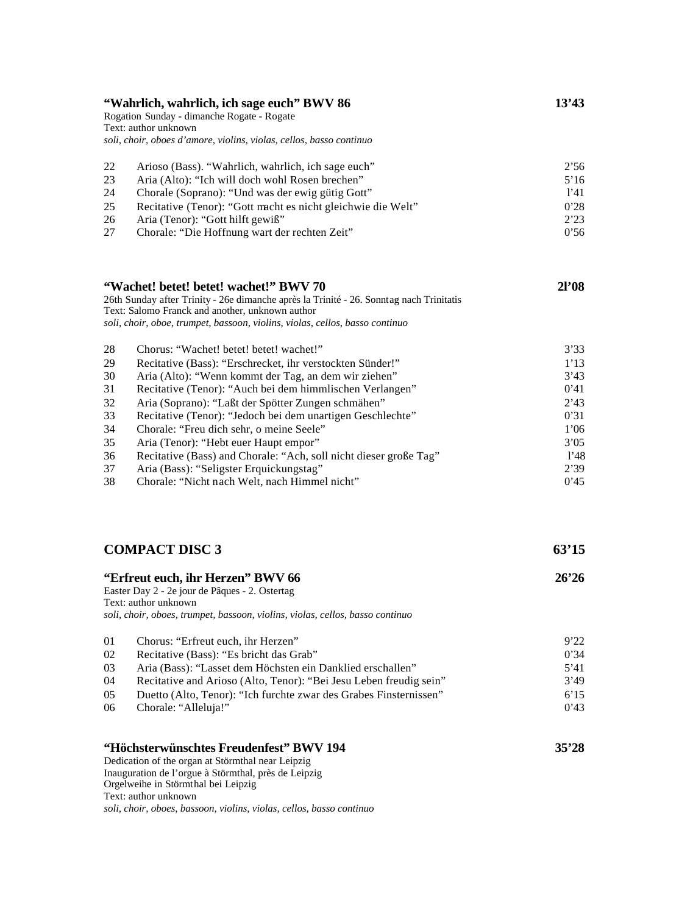| "Wahrlich, wahrlich, ich sage euch" BWV 86<br>Rogation Sunday - dimanche Rogate - Rogate<br>Text: author unknown<br>soli, choir, oboes d'amore, violins, violas, cellos, basso continuo |                                                                                                                                                                                                                                                                                                                                                                                                                                                                                                                                                                                                    | 13'43                                                                                |
|-----------------------------------------------------------------------------------------------------------------------------------------------------------------------------------------|----------------------------------------------------------------------------------------------------------------------------------------------------------------------------------------------------------------------------------------------------------------------------------------------------------------------------------------------------------------------------------------------------------------------------------------------------------------------------------------------------------------------------------------------------------------------------------------------------|--------------------------------------------------------------------------------------|
| 22<br>23<br>24<br>25<br>26<br>27                                                                                                                                                        | Arioso (Bass). "Wahrlich, wahrlich, ich sage euch"<br>Aria (Alto): "Ich will doch wohl Rosen brechen"<br>Chorale (Soprano): "Und was der ewig gütig Gott"<br>Recitative (Tenor): "Gott macht es nicht gleichwie die Welt"<br>Aria (Tenor): "Gott hilft gewiß"<br>Chorale: "Die Hoffnung wart der rechten Zeit"                                                                                                                                                                                                                                                                                     | 2'56<br>5'16<br>1'41<br>0'28<br>2'23<br>0'56                                         |
|                                                                                                                                                                                         | "Wachet! betet! betet! wachet!" BWV 70<br>26th Sunday after Trinity - 26e dimanche après la Trinité - 26. Sonntag nach Trinitatis<br>Text: Salomo Franck and another, unknown author<br>soli, choir, oboe, trumpet, bassoon, violins, violas, cellos, basso continuo                                                                                                                                                                                                                                                                                                                               | 21'08                                                                                |
| 28<br>29<br>30<br>31<br>32<br>33<br>34<br>35<br>36<br>37<br>38                                                                                                                          | Chorus: "Wachet! betet! betet! wachet!"<br>Recitative (Bass): "Erschrecket, ihr verstockten Sünder!"<br>Aria (Alto): "Wenn kommt der Tag, an dem wir ziehen"<br>Recitative (Tenor): "Auch bei dem himmlischen Verlangen"<br>Aria (Soprano): "Laßt der Spötter Zungen schmähen"<br>Recitative (Tenor): "Jedoch bei dem unartigen Geschlechte"<br>Chorale: "Freu dich sehr, o meine Seele"<br>Aria (Tenor): "Hebt euer Haupt empor"<br>Recitative (Bass) and Chorale: "Ach, soll nicht dieser große Tag"<br>Aria (Bass): "Seligster Erquickungstag"<br>Chorale: "Nicht nach Welt, nach Himmel nicht" | 3'33<br>1'13<br>3'43<br>0'41<br>2'43<br>0'31<br>1'06<br>3'05<br>1'48<br>2'39<br>0'45 |
|                                                                                                                                                                                         | <b>COMPACT DISC 3</b>                                                                                                                                                                                                                                                                                                                                                                                                                                                                                                                                                                              | 63'15                                                                                |

| "Erfreut euch, ihr Herzen" BWV 66<br>Easter Day 2 - 2e jour de Pâques - 2. Ostertag<br>Text: author unknown<br>soli, choir, oboes, trumpet, bassoon, violins, violas, cellos, basso continuo |                                                                    | 26'26 |
|----------------------------------------------------------------------------------------------------------------------------------------------------------------------------------------------|--------------------------------------------------------------------|-------|
| 01                                                                                                                                                                                           | Chorus: "Erfreut euch, ihr Herzen"                                 | 9'22  |
| 02                                                                                                                                                                                           | Recitative (Bass): "Es bricht das Grab"                            | 0'34  |
| 03                                                                                                                                                                                           | Aria (Bass): "Lasset dem Höchsten ein Danklied erschallen"         | 5'41  |
| 04                                                                                                                                                                                           | Recitative and Arioso (Alto, Tenor): "Bei Jesu Leben freudig sein" | 3'49  |
| 05                                                                                                                                                                                           | Duetto (Alto, Tenor): "Ich furchte zwar des Grabes Finsternissen"  | 6'15  |
| 06                                                                                                                                                                                           | Chorale: "Alleluja!"                                               | 0'43  |
|                                                                                                                                                                                              | "Höchsterwünschtes Freudenfest" BWV 194                            | 35'28 |

Dedication of the organ at Störmthal near Leipzig Inauguration de l'orgue à Störmthal, près de Leipzig Orgelweihe in Störmthal bei Leipzig Text: author unknown *soli, choir, oboes, bassoon, violins, violas, cellos, basso continuo*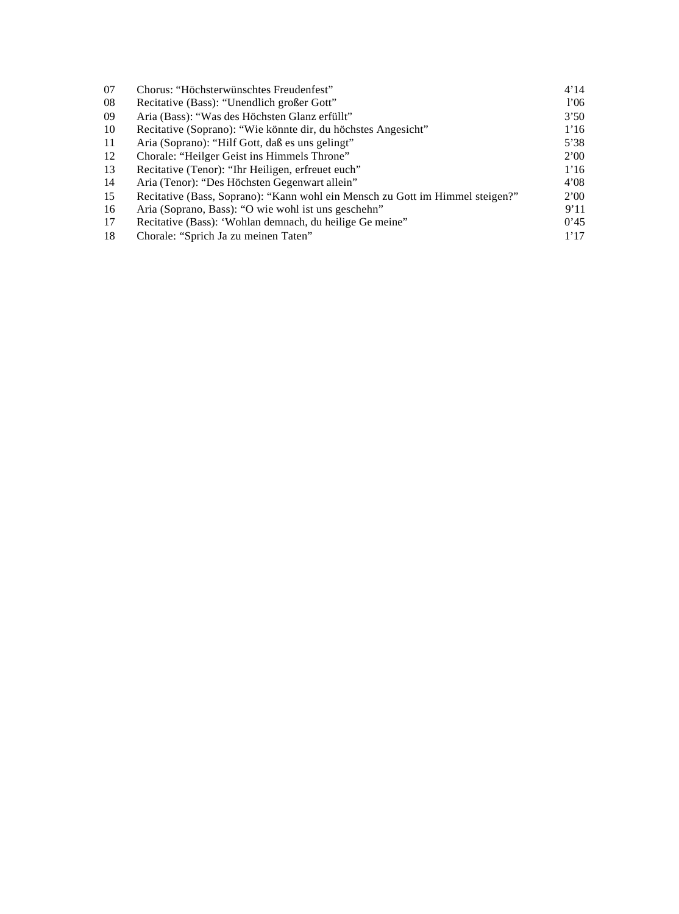| 07  | Chorus: "Höchsterwünschtes Freudenfest"                                       | 4'14        |
|-----|-------------------------------------------------------------------------------|-------------|
| 08  | Recitative (Bass): "Unendlich großer Gott"                                    | 1'06        |
| 09  | Aria (Bass): "Was des Höchsten Glanz erfüllt"                                 | 3'50        |
| 10  | Recitative (Soprano): "Wie könnte dir, du höchstes Angesicht"                 | 1'16        |
| -11 | Aria (Soprano): "Hilf Gott, daß es uns gelingt"                               | 5'38        |
| 12  | Chorale: "Heilger Geist ins Himmels Throne"                                   | 2'00        |
| 13  | Recitative (Tenor): "Ihr Heiligen, erfreuet euch"                             | 1'16        |
| -14 | Aria (Tenor): "Des Höchsten Gegenwart allein"                                 | 4'08        |
| 15  | Recitative (Bass, Soprano): "Kann wohl ein Mensch zu Gott im Himmel steigen?" | <b>2'00</b> |
| 16  | Aria (Soprano, Bass): "O wie wohl ist uns geschehn"                           | 9'11        |
| 17  | Recitative (Bass): 'Wohlan demnach, du heilige Ge meine"                      | 0'45        |
| 18  | Chorale: "Sprich Ja zu meinen Taten"                                          | 1'17        |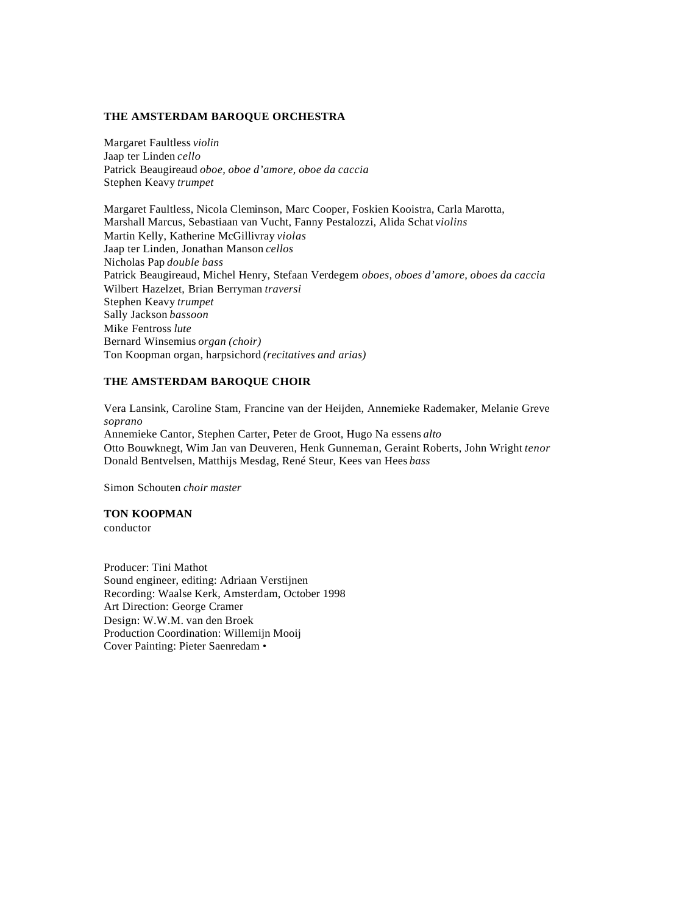#### **THE AMSTERDAM BAROQUE ORCHESTRA**

Margaret Faultless *violin* Jaap ter Linden *cello* Patrick Beaugireaud *oboe, oboe d'amore, oboe da caccia* Stephen Keavy *trumpet*

Margaret Faultless, Nicola Cleminson, Marc Cooper, Foskien Kooistra, Carla Marotta, Marshall Marcus, Sebastiaan van Vucht, Fanny Pestalozzi, Alida Schat *violins* Martin Kelly, Katherine McGillivray *violas* Jaap ter Linden, Jonathan Manson *cellos* Nicholas Pap *double bass* Patrick Beaugireaud, Michel Henry, Stefaan Verdegem *oboes, oboes d'amore, oboes da caccia* Wilbert Hazelzet, Brian Berryman *traversi* Stephen Keavy *trumpet* Sally Jackson *bassoon* Mike Fentross *lute* Bernard Winsemius *organ (choir)* Ton Koopman organ, harpsichord *(recitatives and arias)*

## **THE AMSTERDAM BAROQUE CHOIR**

Vera Lansink, Caroline Stam, Francine van der Heijden, Annemieke Rademaker, Melanie Greve *soprano* Annemieke Cantor, Stephen Carter, Peter de Groot, Hugo Na essens *alto* Otto Bouwknegt, Wim Jan van Deuveren, Henk Gunneman, Geraint Roberts, John Wright *tenor* Donald Bentvelsen, Matthijs Mesdag, René Steur, Kees van Hees *bass*

Simon Schouten *choir master*

**TON KOOPMAN** conductor

Producer: Tini Mathot Sound engineer, editing: Adriaan Verstijnen Recording: Waalse Kerk, Amsterdam, October 1998 Art Direction: George Cramer Design: W.W.M. van den Broek Production Coordination: Willemijn Mooij Cover Painting: Pieter Saenredam •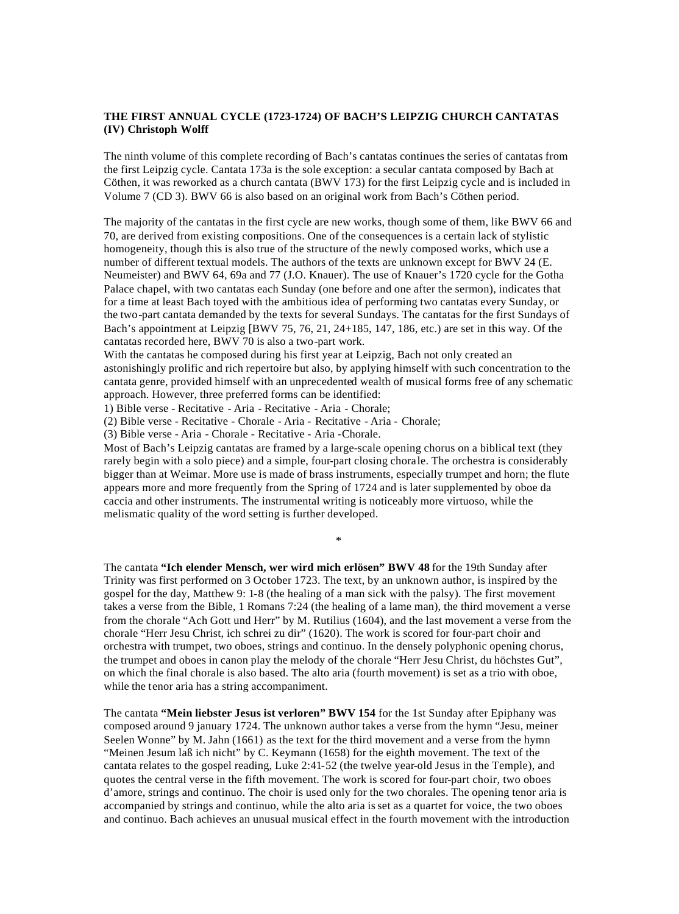### **THE FIRST ANNUAL CYCLE (1723-1724) OF BACH'S LEIPZIG CHURCH CANTATAS (IV) Christoph Wolff**

The ninth volume of this complete recording of Bach's cantatas continues the series of cantatas from the first Leipzig cycle. Cantata 173a is the sole exception: a secular cantata composed by Bach at Cöthen, it was reworked as a church cantata (BWV 173) for the first Leipzig cycle and is included in Volume 7 (CD 3). BWV 66 is also based on an original work from Bach's Cöthen period.

The majority of the cantatas in the first cycle are new works, though some of them, like BWV 66 and 70, are derived from existing compositions. One of the consequences is a certain lack of stylistic homogeneity, though this is also true of the structure of the newly composed works, which use a number of different textual models. The authors of the texts are unknown except for BWV 24 (E. Neumeister) and BWV 64, 69a and 77 (J.O. Knauer). The use of Knauer's 1720 cycle for the Gotha Palace chapel, with two cantatas each Sunday (one before and one after the sermon), indicates that for a time at least Bach toyed with the ambitious idea of performing two cantatas every Sunday, or the two-part cantata demanded by the texts for several Sundays. The cantatas for the first Sundays of Bach's appointment at Leipzig [BWV 75, 76, 21, 24+185, 147, 186, etc.) are set in this way. Of the cantatas recorded here, BWV 70 is also a two-part work.

With the cantatas he composed during his first year at Leipzig, Bach not only created an astonishingly prolific and rich repertoire but also, by applying himself with such concentration to the cantata genre, provided himself with an unprecedented wealth of musical forms free of any schematic approach. However, three preferred forms can be identified:

1) Bible verse - Recitative - Aria - Recitative - Aria - Chorale;

(2) Bible verse - Recitative - Chorale - Aria - Recitative - Aria - Chorale;

(3) Bible verse - Aria - Chorale - Recitative - Aria -Chorale.

Most of Bach's Leipzig cantatas are framed by a large-scale opening chorus on a biblical text (they rarely begin with a solo piece) and a simple, four-part closing chorale. The orchestra is considerably bigger than at Weimar. More use is made of brass instruments, especially trumpet and horn; the flute appears more and more frequently from the Spring of 1724 and is later supplemented by oboe da caccia and other instruments. The instrumental writing is noticeably more virtuoso, while the melismatic quality of the word setting is further developed.

\*

The cantata **"Ich elender Mensch, wer wird mich erlösen" BWV 48** for the 19th Sunday after Trinity was first performed on 3 October 1723. The text, by an unknown author, is inspired by the gospel for the day, Matthew 9: 1-8 (the healing of a man sick with the palsy). The first movement takes a verse from the Bible, 1 Romans 7:24 (the healing of a lame man), the third movement a verse from the chorale "Ach Gott und Herr" by M. Rutilius (1604), and the last movement a verse from the chorale "Herr Jesu Christ, ich schrei zu dir" (1620). The work is scored for four-part choir and orchestra with trumpet, two oboes, strings and continuo. In the densely polyphonic opening chorus, the trumpet and oboes in canon play the melody of the chorale "Herr Jesu Christ, du höchstes Gut", on which the final chorale is also based. The alto aria (fourth movement) is set as a trio with oboe, while the tenor aria has a string accompaniment.

The cantata **"Mein liebster Jesus ist verloren" BWV 154** for the 1st Sunday after Epiphany was composed around 9 january 1724. The unknown author takes a verse from the hymn "Jesu, meiner Seelen Wonne" by M. Jahn (1661) as the text for the third movement and a verse from the hymn "Meinen Jesum laß ich nicht" by C. Keymann (1658) for the eighth movement. The text of the cantata relates to the gospel reading, Luke 2:41-52 (the twelve year-old Jesus in the Temple), and quotes the central verse in the fifth movement. The work is scored for four-part choir, two oboes d'amore, strings and continuo. The choir is used only for the two chorales. The opening tenor aria is accompanied by strings and continuo, while the alto aria is set as a quartet for voice, the two oboes and continuo. Bach achieves an unusual musical effect in the fourth movement with the introduction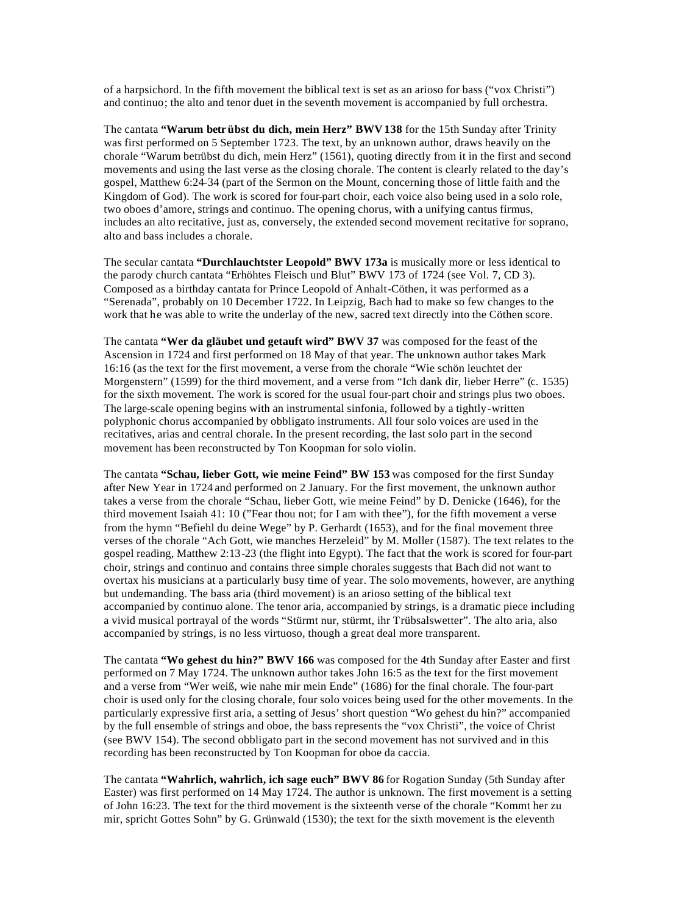of a harpsichord. In the fifth movement the biblical text is set as an arioso for bass ("vox Christi") and continuo; the alto and tenor duet in the seventh movement is accompanied by full orchestra.

The cantata **"Warum betr übst du dich, mein Herz" BWV 138** for the 15th Sunday after Trinity was first performed on 5 September 1723. The text, by an unknown author, draws heavily on the chorale "Warum betrübst du dich, mein Herz" (1561), quoting directly from it in the first and second movements and using the last verse as the closing chorale. The content is clearly related to the day's gospel, Matthew 6:24-34 (part of the Sermon on the Mount, concerning those of little faith and the Kingdom of God). The work is scored for four-part choir, each voice also being used in a solo role, two oboes d'amore, strings and continuo. The opening chorus, with a unifying cantus firmus, includes an alto recitative, just as, conversely, the extended second movement recitative for soprano, alto and bass includes a chorale.

The secular cantata **"Durchlauchtster Leopold" BWV 173a** is musically more or less identical to the parody church cantata "Erhöhtes Fleisch und Blut" BWV 173 of 1724 (see Vol. 7, CD 3). Composed as a birthday cantata for Prince Leopold of Anhalt-Cöthen, it was performed as a "Serenada", probably on 10 December 1722. In Leipzig, Bach had to make so few changes to the work that he was able to write the underlay of the new, sacred text directly into the Cöthen score.

The cantata **"Wer da gläubet und getauft wird" BWV 37** was composed for the feast of the Ascension in 1724 and first performed on 18 May of that year. The unknown author takes Mark 16:16 (as the text for the first movement, a verse from the chorale "Wie schön leuchtet der Morgenstern" (1599) for the third movement, and a verse from "Ich dank dir, lieber Herre" (c. 1535) for the sixth movement. The work is scored for the usual four-part choir and strings plus two oboes. The large-scale opening begins with an instrumental sinfonia, followed by a tightly-written polyphonic chorus accompanied by obbligato instruments. All four solo voices are used in the recitatives, arias and central chorale. In the present recording, the last solo part in the second movement has been reconstructed by Ton Koopman for solo violin.

The cantata **"Schau, lieber Gott, wie meine Feind" BW 153** was composed for the first Sunday after New Year in 1724 and performed on 2 January. For the first movement, the unknown author takes a verse from the chorale "Schau, lieber Gott, wie meine Feind" by D. Denicke (1646), for the third movement Isaiah 41: 10 ("Fear thou not; for I am with thee"), for the fifth movement a verse from the hymn "Befiehl du deine Wege" by P. Gerhardt (1653), and for the final movement three verses of the chorale "Ach Gott, wie manches Herzeleid" by M. Moller (1587). The text relates to the gospel reading, Matthew 2:13-23 (the flight into Egypt). The fact that the work is scored for four-part choir, strings and continuo and contains three simple chorales suggests that Bach did not want to overtax his musicians at a particularly busy time of year. The solo movements, however, are anything but undemanding. The bass aria (third movement) is an arioso setting of the biblical text accompanied by continuo alone. The tenor aria, accompanied by strings, is a dramatic piece including a vivid musical portrayal of the words "Stürmt nur, stürmt, ihr Trübsalswetter". The alto aria, also accompanied by strings, is no less virtuoso, though a great deal more transparent.

The cantata **"Wo gehest du hin?" BWV 166** was composed for the 4th Sunday after Easter and first performed on 7 May 1724. The unknown author takes John 16:5 as the text for the first movement and a verse from "Wer weiß, wie nahe mir mein Ende" (1686) for the final chorale. The four-part choir is used only for the closing chorale, four solo voices being used for the other movements. In the particularly expressive first aria, a setting of Jesus' short question "Wo gehest du hin?" accompanied by the full ensemble of strings and oboe, the bass represents the "vox Christi", the voice of Christ (see BWV 154). The second obbligato part in the second movement has not survived and in this recording has been reconstructed by Ton Koopman for oboe da caccia.

The cantata **"Wahrlich, wahrlich, ich sage euch" BWV 86** for Rogation Sunday (5th Sunday after Easter) was first performed on 14 May 1724. The author is unknown. The first movement is a setting of John 16:23. The text for the third movement is the sixteenth verse of the chorale "Kommt her zu mir, spricht Gottes Sohn" by G. Grünwald (1530); the text for the sixth movement is the eleventh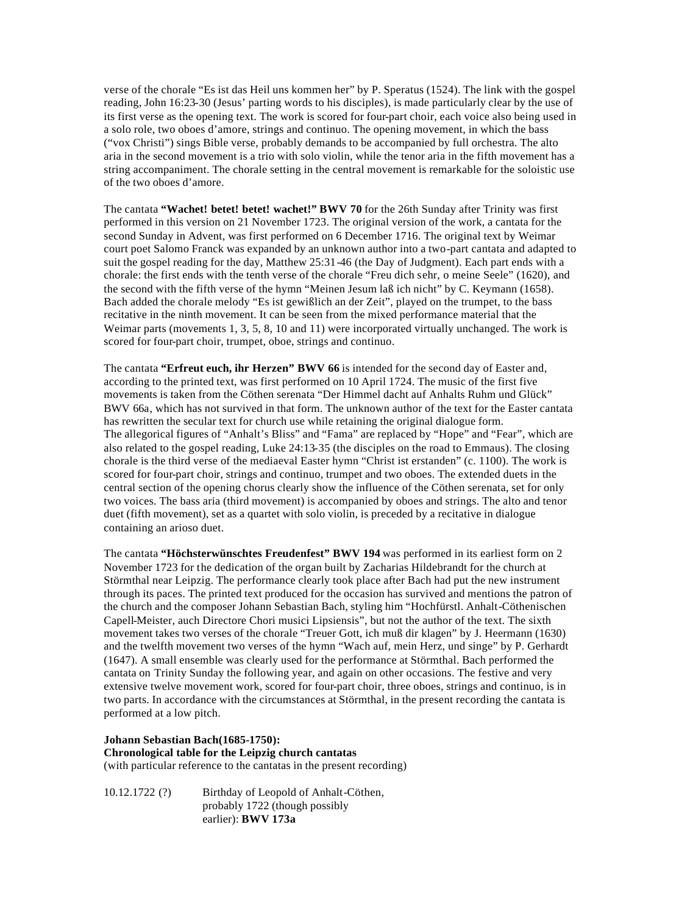verse of the chorale "Es ist das Heil uns kommen her" by P. Speratus (1524). The link with the gospel reading, John 16:23-30 (Jesus' parting words to his disciples), is made particularly clear by the use of its first verse as the opening text. The work is scored for four-part choir, each voice also being used in a solo role, two oboes d'amore, strings and continuo. The opening movement, in which the bass ("vox Christi") sings Bible verse, probably demands to be accompanied by full orchestra. The alto aria in the second movement is a trio with solo violin, while the tenor aria in the fifth movement has a string accompaniment. The chorale setting in the central movement is remarkable for the soloistic use of the two oboes d'amore.

The cantata **"Wachet! betet! betet! wachet!" BWV 70** for the 26th Sunday after Trinity was first performed in this version on 21 November 1723. The original version of the work, a cantata for the second Sunday in Advent, was first performed on 6 December 1716. The original text by Weimar court poet Salomo Franck was expanded by an unknown author into a two-part cantata and adapted to suit the gospel reading for the day, Matthew 25:31-46 (the Day of Judgment). Each part ends with a chorale: the first ends with the tenth verse of the chorale "Freu dich sehr, o meine Seele" (1620), and the second with the fifth verse of the hymn "Meinen Jesum laß ich nicht" by C. Keymann (1658). Bach added the chorale melody "Es ist gewißlich an der Zeit", played on the trumpet, to the bass recitative in the ninth movement. It can be seen from the mixed performance material that the Weimar parts (movements 1, 3, 5, 8, 10 and 11) were incorporated virtually unchanged. The work is scored for four-part choir, trumpet, oboe, strings and continuo.

The cantata **"Erfreut euch, ihr Herzen" BWV 66** is intended for the second day of Easter and, according to the printed text, was first performed on 10 April 1724. The music of the first five movements is taken from the Cöthen serenata "Der Himmel dacht auf Anhalts Ruhm und Glück" BWV 66a, which has not survived in that form. The unknown author of the text for the Easter cantata has rewritten the secular text for church use while retaining the original dialogue form. The allegorical figures of "Anhalt's Bliss" and "Fama" are replaced by "Hope" and "Fear", which are also related to the gospel reading, Luke 24:13-35 (the disciples on the road to Emmaus). The closing chorale is the third verse of the mediaeval Easter hymn "Christ ist erstanden" (c. 1100). The work is scored for four-part choir, strings and continuo, trumpet and two oboes. The extended duets in the central section of the opening chorus clearly show the influence of the Cöthen serenata, set for only two voices. The bass aria (third movement) is accompanied by oboes and strings. The alto and tenor duet (fifth movement), set as a quartet with solo violin, is preceded by a recitative in dialogue containing an arioso duet.

The cantata **"Höchsterwünschtes Freudenfest" BWV 194** was performed in its earliest form on 2 November 1723 for the dedication of the organ built by Zacharias Hildebrandt for the church at Störmthal near Leipzig. The performance clearly took place after Bach had put the new instrument through its paces. The printed text produced for the occasion has survived and mentions the patron of the church and the composer Johann Sebastian Bach, styling him "Hochfürstl. Anhalt-Cöthenischen Capell-Meister, auch Directore Chori musici Lipsiensis", but not the author of the text. The sixth movement takes two verses of the chorale "Treuer Gott, ich muß dir klagen" by J. Heermann (1630) and the twelfth movement two verses of the hymn "Wach auf, mein Herz, und singe" by P. Gerhardt (1647). A small ensemble was clearly used for the performance at Störmthal. Bach performed the cantata on Trinity Sunday the following year, and again on other occasions. The festive and very extensive twelve movement work, scored for four-part choir, three oboes, strings and continuo, is in two parts. In accordance with the circumstances at Störmthal, in the present recording the cantata is performed at a low pitch.

### **Johann Sebastian Bach(1685-1750): Chronological table for the Leipzig church cantatas** (with particular reference to the cantatas in the present recording)

10.12.1722 (?) Birthday of Leopold of Anhalt-Cöthen, probably 1722 (though possibly earlier): **BWV 173a**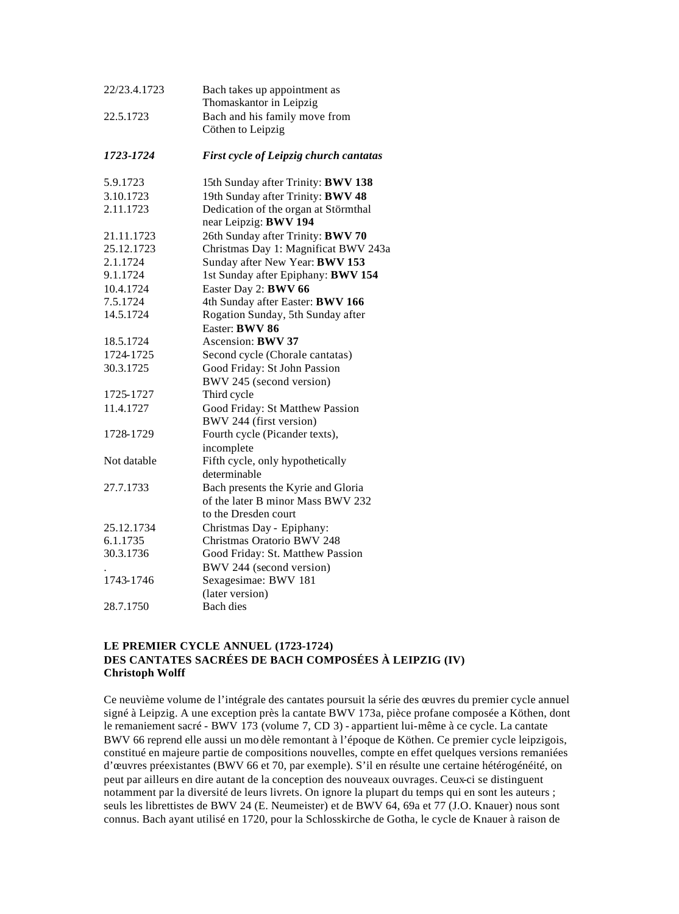| 22/23.4.1723 | Bach takes up appointment as<br>Thomaskantor in Leipzig       |
|--------------|---------------------------------------------------------------|
| 22.5.1723    | Bach and his family move from<br>Cöthen to Leipzig            |
| 1723-1724    | <b>First cycle of Leipzig church cantatas</b>                 |
| 5.9.1723     | 15th Sunday after Trinity: BWV 138                            |
| 3.10.1723    | 19th Sunday after Trinity: BWV 48                             |
| 2.11.1723    | Dedication of the organ at Störmthal<br>near Leipzig: BWV 194 |
| 21.11.1723   | 26th Sunday after Trinity: BWV 70                             |
| 25.12.1723   | Christmas Day 1: Magnificat BWV 243a                          |
| 2.1.1724     | Sunday after New Year: BWV 153                                |
| 9.1.1724     | 1st Sunday after Epiphany: BWV 154                            |
| 10.4.1724    | Easter Day 2: BWV 66                                          |
| 7.5.1724     | 4th Sunday after Easter: BWV 166                              |
| 14.5.1724    | Rogation Sunday, 5th Sunday after                             |
|              | Easter: BWV 86                                                |
| 18.5.1724    | Ascension: <b>BWV 37</b>                                      |
| 1724-1725    | Second cycle (Chorale cantatas)                               |
| 30.3.1725    | Good Friday: St John Passion                                  |
|              | BWV 245 (second version)                                      |
| 1725-1727    | Third cycle                                                   |
| 11.4.1727    | Good Friday: St Matthew Passion                               |
|              | BWV 244 (first version)                                       |
| 1728-1729    | Fourth cycle (Picander texts),                                |
|              | incomplete                                                    |
| Not datable  | Fifth cycle, only hypothetically                              |
|              | determinable                                                  |
| 27.7.1733    | Bach presents the Kyrie and Gloria                            |
|              | of the later B minor Mass BWV 232                             |
|              | to the Dresden court                                          |
| 25.12.1734   | Christmas Day - Epiphany:                                     |
| 6.1.1735     | Christmas Oratorio BWV 248                                    |
| 30.3.1736    | Good Friday: St. Matthew Passion                              |
|              | BWV 244 (second version)                                      |
| 1743-1746    | Sexagesimae: BWV 181                                          |
|              | (later version)                                               |
| 28.7.1750    | Bach dies                                                     |

# **LE PREMIER CYCLE ANNUEL (1723-1724) DES CANTATES SACRÉES DE BACH COMPOSÉES À LEIPZIG (IV) Christoph Wolff**

Ce neuvième volume de l'intégrale des cantates poursuit la série des œuvres du premier cycle annuel signé à Leipzig. A une exception près la cantate BWV 173a, pièce profane composée a Köthen, dont le remaniement sacré - BWV 173 (volume 7, CD 3) - appartient lui-même à ce cycle. La cantate BWV 66 reprend elle aussi un mo dèle remontant à l'époque de Köthen. Ce premier cycle leipzigois, constitué en majeure partie de compositions nouvelles, compte en effet quelques versions remaniées d'œuvres préexistantes (BWV 66 et 70, par exemple). S'il en résulte une certaine hétérogénéité, on peut par ailleurs en dire autant de la conception des nouveaux ouvrages. Ceux-ci se distinguent notamment par la diversité de leurs livrets. On ignore la plupart du temps qui en sont les auteurs ; seuls les librettistes de BWV 24 (E. Neumeister) et de BWV 64, 69a et 77 (J.O. Knauer) nous sont connus. Bach ayant utilisé en 1720, pour la Schlosskirche de Gotha, le cycle de Knauer à raison de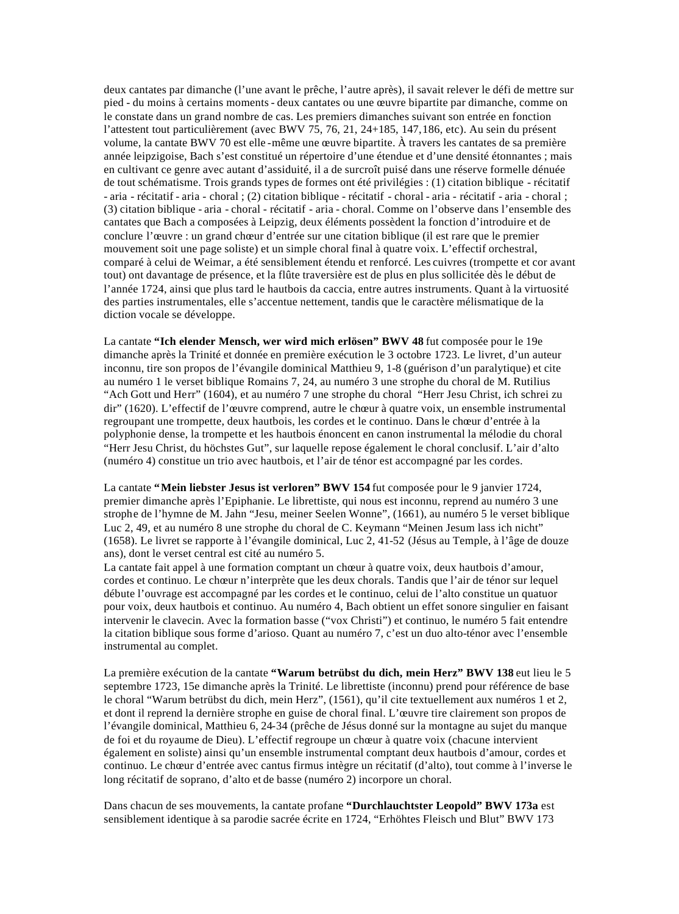deux cantates par dimanche (l'une avant le prêche, l'autre après), il savait relever le défi de mettre sur pied - du moins à certains moments - deux cantates ou une œuvre bipartite par dimanche, comme on le constate dans un grand nombre de cas. Les premiers dimanches suivant son entrée en fonction l'attestent tout particulièrement (avec BWV 75, 76, 21, 24+185, 147,186, etc). Au sein du présent volume, la cantate BWV 70 est elle -même une œuvre bipartite. À travers les cantates de sa première année leipzigoise, Bach s'est constitué un répertoire d'une étendue et d'une densité étonnantes ; mais en cultivant ce genre avec autant d'assiduité, il a de surcroît puisé dans une réserve formelle dénuée de tout schématisme. Trois grands types de formes ont été privilégies : (1) citation biblique - récitatif - aria - récitatif - aria - choral ; (2) citation biblique - récitatif - choral - aria - récitatif - aria - choral ; (3) citation biblique - aria - choral - récitatif - aria - choral. Comme on l'observe dans l'ensemble des cantates que Bach a composées à Leipzig, deux éléments possèdent la fonction d'introduire et de conclure l'œuvre : un grand chœur d'entrée sur une citation biblique (il est rare que le premier mouvement soit une page soliste) et un simple choral final à quatre voix. L'effectif orchestral, comparé à celui de Weimar, a été sensiblement étendu et renforcé. Les cuivres (trompette et cor avant tout) ont davantage de présence, et la flûte traversière est de plus en plus sollicitée dès le début de l'année 1724, ainsi que plus tard le hautbois da caccia, entre autres instruments. Quant à la virtuosité des parties instrumentales, elle s'accentue nettement, tandis que le caractère mélismatique de la diction vocale se développe.

La cantate **"Ich elender Mensch, wer wird mich erlösen" BWV 48** fut composée pour le 19e dimanche après la Trinité et donnée en première exécution le 3 octobre 1723. Le livret, d'un auteur inconnu, tire son propos de l'évangile dominical Matthieu 9, 1-8 (guérison d'un paralytique) et cite au numéro 1 le verset biblique Romains 7, 24, au numéro 3 une strophe du choral de M. Rutilius "Ach Gott und Herr" (1604), et au numéro 7 une strophe du choral "Herr Jesu Christ, ich schrei zu dir" (1620). L'effectif de l'œuvre comprend, autre le chœur à quatre voix, un ensemble instrumental regroupant une trompette, deux hautbois, les cordes et le continuo. Dans le chœur d'entrée à la polyphonie dense, la trompette et les hautbois énoncent en canon instrumental la mélodie du choral "Herr Jesu Christ, du höchstes Gut", sur laquelle repose également le choral conclusif. L'air d'alto (numéro 4) constitue un trio avec hautbois, et l'air de ténor est accompagné par les cordes.

La cantate **"Mein liebster Jesus ist verloren" BWV 154** fut composée pour le 9 janvier 1724, premier dimanche après l'Epiphanie. Le librettiste, qui nous est inconnu, reprend au numéro 3 une strophe de l'hymne de M. Jahn "Jesu, meiner Seelen Wonne", (1661), au numéro 5 le verset biblique Luc 2, 49, et au numéro 8 une strophe du choral de C. Keymann "Meinen Jesum lass ich nicht" (1658). Le livret se rapporte à l'évangile dominical, Luc 2, 41-52 (Jésus au Temple, à l'âge de douze ans), dont le verset central est cité au numéro 5.

La cantate fait appel à une formation comptant un chœur à quatre voix, deux hautbois d'amour, cordes et continuo. Le chœur n'interprète que les deux chorals. Tandis que l'air de ténor sur lequel débute l'ouvrage est accompagné par les cordes et le continuo, celui de l'alto constitue un quatuor pour voix, deux hautbois et continuo. Au numéro 4, Bach obtient un effet sonore singulier en faisant intervenir le clavecin. Avec la formation basse ("vox Christi") et continuo, le numéro 5 fait entendre la citation biblique sous forme d'arioso. Quant au numéro 7, c'est un duo alto-ténor avec l'ensemble instrumental au complet.

La première exécution de la cantate **"Warum betrübst du dich, mein Herz" BWV 138** eut lieu le 5 septembre 1723, 15e dimanche après la Trinité. Le librettiste (inconnu) prend pour référence de base le choral "Warum betrübst du dich, mein Herz", (1561), qu'il cite textuellement aux numéros 1 et 2, et dont il reprend la dernière strophe en guise de choral final. L'œuvre tire clairement son propos de l'évangile dominical, Matthieu 6, 24-34 (prêche de Jésus donné sur la montagne au sujet du manque de foi et du royaume de Dieu). L'effectif regroupe un chœur à quatre voix (chacune intervient également en soliste) ainsi qu'un ensemble instrumental comptant deux hautbois d'amour, cordes et continuo. Le chœur d'entrée avec cantus firmus intègre un récitatif (d'alto), tout comme à l'inverse le long récitatif de soprano, d'alto et de basse (numéro 2) incorpore un choral.

Dans chacun de ses mouvements, la cantate profane **"Durchlauchtster Leopold" BWV 173a** est sensiblement identique à sa parodie sacrée écrite en 1724, "Erhöhtes Fleisch und Blut" BWV 173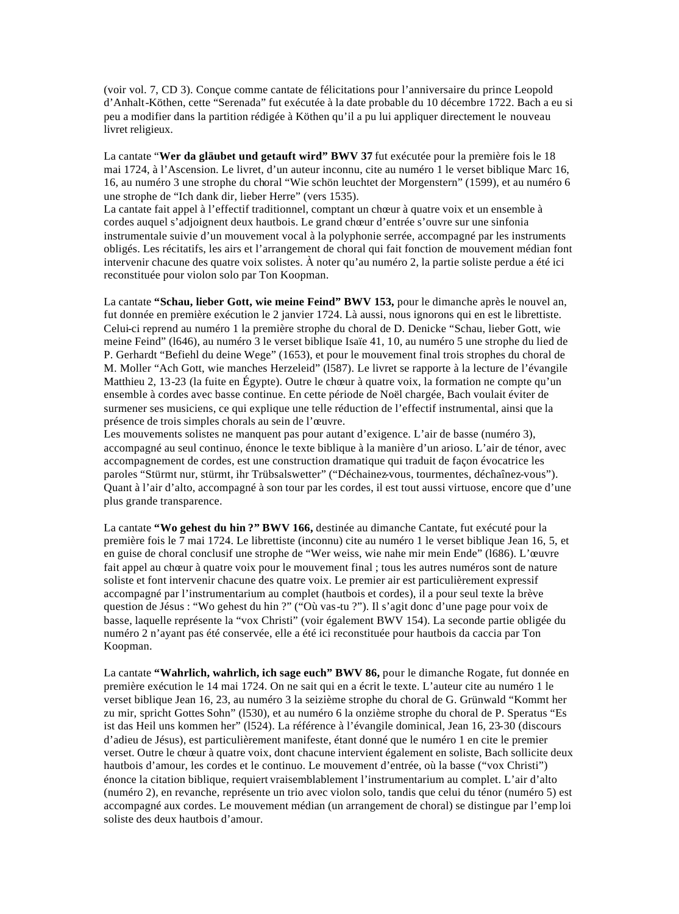(voir vol. 7, CD 3). Conçue comme cantate de félicitations pour l'anniversaire du prince Leopold d'Anhalt-Köthen, cette "Serenada" fut exécutée à la date probable du 10 décembre 1722. Bach a eu si peu a modifier dans la partition rédigée à Köthen qu'il a pu lui appliquer directement le nouveau livret religieux.

La cantate "**Wer da gläubet und getauft wird" BWV 37** fut exécutée pour la première fois le 18 mai 1724, à l'Ascension. Le livret, d'un auteur inconnu, cite au numéro 1 le verset biblique Marc 16, 16, au numéro 3 une strophe du choral "Wie schön leuchtet der Morgenstern" (1599), et au numéro 6 une strophe de "Ich dank dir, lieber Herre" (vers 1535).

La cantate fait appel à l'effectif traditionnel, comptant un chœur à quatre voix et un ensemble à cordes auquel s'adjoignent deux hautbois. Le grand chœur d'entrée s'ouvre sur une sinfonia instrumentale suivie d'un mouvement vocal à la polyphonie serrée, accompagné par les instruments obligés. Les récitatifs, les airs et l'arrangement de choral qui fait fonction de mouvement médian font intervenir chacune des quatre voix solistes. À noter qu'au numéro 2, la partie soliste perdue a été ici reconstituée pour violon solo par Ton Koopman.

La cantate **"Schau, lieber Gott, wie meine Feind" BWV 153,** pour le dimanche après le nouvel an, fut donnée en première exécution le 2 janvier 1724. Là aussi, nous ignorons qui en est le librettiste. Celui-ci reprend au numéro 1 la première strophe du choral de D. Denicke "Schau, lieber Gott, wie meine Feind" (l646), au numéro 3 le verset biblique Isaïe 41, 10, au numéro 5 une strophe du lied de P. Gerhardt "Befiehl du deine Wege" (1653), et pour le mouvement final trois strophes du choral de M. Moller "Ach Gott, wie manches Herzeleid" (l587). Le livret se rapporte à la lecture de l'évangile Matthieu 2, 13-23 (la fuite en Égypte). Outre le chœur à quatre voix, la formation ne compte qu'un ensemble à cordes avec basse continue. En cette période de Noël chargée, Bach voulait éviter de surmener ses musiciens, ce qui explique une telle réduction de l'effectif instrumental, ainsi que la présence de trois simples chorals au sein de l'œuvre.

Les mouvements solistes ne manquent pas pour autant d'exigence. L'air de basse (numéro 3), accompagné au seul continuo, énonce le texte biblique à la manière d'un arioso. L'air de ténor, avec accompagnement de cordes, est une construction dramatique qui traduit de façon évocatrice les paroles "Stürmt nur, stürmt, ihr Trübsalswetter" ("Déchainez-vous, tourmentes, déchaînez-vous"). Quant à l'air d'alto, accompagné à son tour par les cordes, il est tout aussi virtuose, encore que d'une plus grande transparence.

La cantate **"Wo gehest du hin ?" BWV 166,** destinée au dimanche Cantate, fut exécuté pour la première fois le 7 mai 1724. Le librettiste (inconnu) cite au numéro 1 le verset biblique Jean 16, 5, et en guise de choral conclusif une strophe de "Wer weiss, wie nahe mir mein Ende" (l686). L'œuvre fait appel au chœur à quatre voix pour le mouvement final ; tous les autres numéros sont de nature soliste et font intervenir chacune des quatre voix. Le premier air est particulièrement expressif accompagné par l'instrumentarium au complet (hautbois et cordes), il a pour seul texte la brève question de Jésus : "Wo gehest du hin ?" ("Où vas-tu ?"). Il s'agit donc d'une page pour voix de basse, laquelle représente la "vox Christi" (voir également BWV 154). La seconde partie obligée du numéro 2 n'ayant pas été conservée, elle a été ici reconstituée pour hautbois da caccia par Ton Koopman.

La cantate **"Wahrlich, wahrlich, ich sage euch" BWV 86,** pour le dimanche Rogate, fut donnée en première exécution le 14 mai 1724. On ne sait qui en a écrit le texte. L'auteur cite au numéro 1 le verset biblique Jean 16, 23, au numéro 3 la seizième strophe du choral de G. Grünwald "Kommt her zu mir, spricht Gottes Sohn" (l530), et au numéro 6 la onzième strophe du choral de P. Speratus "Es ist das Heil uns kommen her" (l524). La référence à l'évangile dominical, Jean 16, 23-30 (discours d'adieu de Jésus), est particulièrement manifeste, étant donné que le numéro 1 en cite le premier verset. Outre le chœur à quatre voix, dont chacune intervient également en soliste, Bach sollicite deux hautbois d'amour, les cordes et le continuo. Le mouvement d'entrée, où la basse ("vox Christi") énonce la citation biblique, requiert vraisemblablement l'instrumentarium au complet. L'air d'alto (numéro 2), en revanche, représente un trio avec violon solo, tandis que celui du ténor (numéro 5) est accompagné aux cordes. Le mouvement médian (un arrangement de choral) se distingue par l'emp loi soliste des deux hautbois d'amour.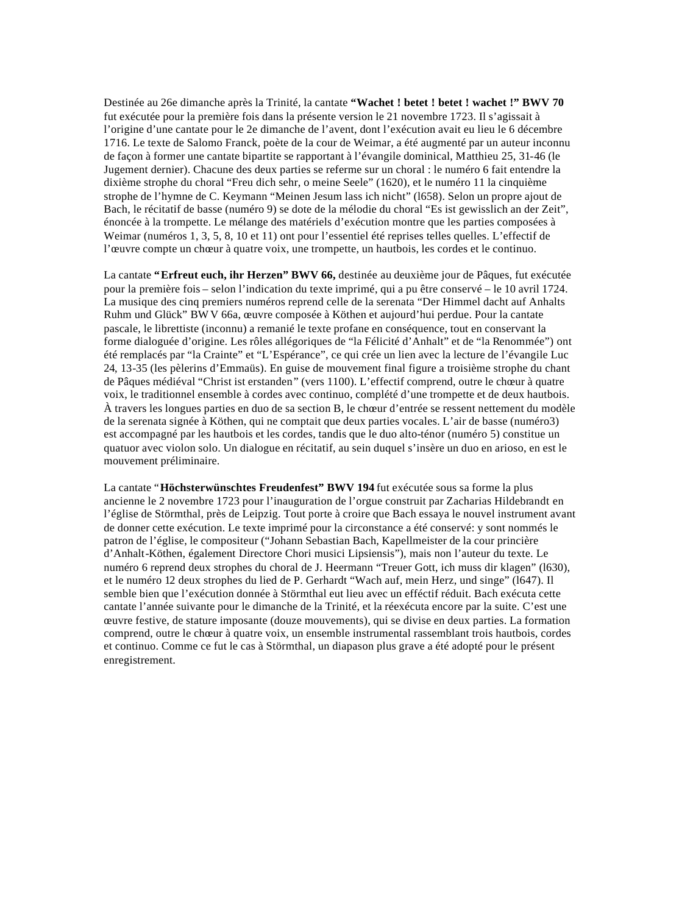Destinée au 26e dimanche après la Trinité, la cantate **"Wachet ! betet ! betet ! wachet !" BWV 70**  fut exécutée pour la première fois dans la présente version le 21 novembre 1723. Il s'agissait à l'origine d'une cantate pour le 2e dimanche de l'avent, dont l'exécution avait eu lieu le 6 décembre 1716. Le texte de Salomo Franck, poète de la cour de Weimar, a été augmenté par un auteur inconnu de façon à former une cantate bipartite se rapportant à l'évangile dominical, Matthieu 25, 31-46 (le Jugement dernier). Chacune des deux parties se referme sur un choral : le numéro 6 fait entendre la dixième strophe du choral "Freu dich sehr, o meine Seele" (1620), et le numéro 11 la cinquième strophe de l'hymne de C. Keymann "Meinen Jesum lass ich nicht" (l658). Selon un propre ajout de Bach, le récitatif de basse (numéro 9) se dote de la mélodie du choral "Es ist gewisslich an der Zeit", énoncée à la trompette. Le mélange des matériels d'exécution montre que les parties composées à Weimar (numéros 1, 3, 5, 8, 10 et 11) ont pour l'essentiel été reprises telles quelles. L'effectif de l'œuvre compte un chœur à quatre voix, une trompette, un hautbois, les cordes et le continuo.

La cantate **"Erfreut euch, ihr Herzen" BWV 66,** destinée au deuxième jour de Pâques, fut exécutée pour la première fois – selon l'indication du texte imprimé, qui a pu être conservé – le 10 avril 1724. La musique des cinq premiers numéros reprend celle de la serenata "Der Himmel dacht auf Anhalts Ruhm und Glück" BWV 66a, œuvre composée à Köthen et aujourd'hui perdue. Pour la cantate pascale, le librettiste (inconnu) a remanié le texte profane en conséquence, tout en conservant la forme dialoguée d'origine. Les rôles allégoriques de "la Félicité d'Anhalt" et de "la Renommée") ont été remplacés par "la Crainte" et "L'Espérance", ce qui crée un lien avec la lecture de l'évangile Luc 24, 13-35 (les pèlerins d'Emmaüs). En guise de mouvement final figure a troisième strophe du chant de Pâques médiéval "Christ ist erstanden" (vers 1100). L'effectif comprend, outre le chœur à quatre voix, le traditionnel ensemble à cordes avec continuo, complété d'une trompette et de deux hautbois. À travers les longues parties en duo de sa section B, le chœur d'entrée se ressent nettement du modèle de la serenata signée à Köthen, qui ne comptait que deux parties vocales. L'air de basse (numéro3) est accompagné par les hautbois et les cordes, tandis que le duo alto-ténor (numéro 5) constitue un quatuor avec violon solo. Un dialogue en récitatif, au sein duquel s'insère un duo en arioso, en est le mouvement préliminaire.

La cantate "**Höchsterwünschtes Freudenfest" BWV 194** fut exécutée sous sa forme la plus ancienne le 2 novembre 1723 pour l'inauguration de l'orgue construit par Zacharias Hildebrandt en l'église de Störmthal, près de Leipzig. Tout porte à croire que Bach essaya le nouvel instrument avant de donner cette exécution. Le texte imprimé pour la circonstance a été conservé: y sont nommés le patron de l'église, le compositeur ("Johann Sebastian Bach, Kapellmeister de la cour princière d'Anhalt-Köthen, également Directore Chori musici Lipsiensis"), mais non l'auteur du texte. Le numéro 6 reprend deux strophes du choral de J. Heermann "Treuer Gott, ich muss dir klagen" (l630), et le numéro 12 deux strophes du lied de P. Gerhardt "Wach auf, mein Herz, und singe" (l647). Il semble bien que l'exécution donnée à Störmthal eut lieu avec un efféctif réduit. Bach exécuta cette cantate l'année suivante pour le dimanche de la Trinité, et la réexécuta encore par la suite. C'est une œuvre festive, de stature imposante (douze mouvements), qui se divise en deux parties. La formation comprend, outre le chœur à quatre voix, un ensemble instrumental rassemblant trois hautbois, cordes et continuo. Comme ce fut le cas à Störmthal, un diapason plus grave a été adopté pour le présent enregistrement.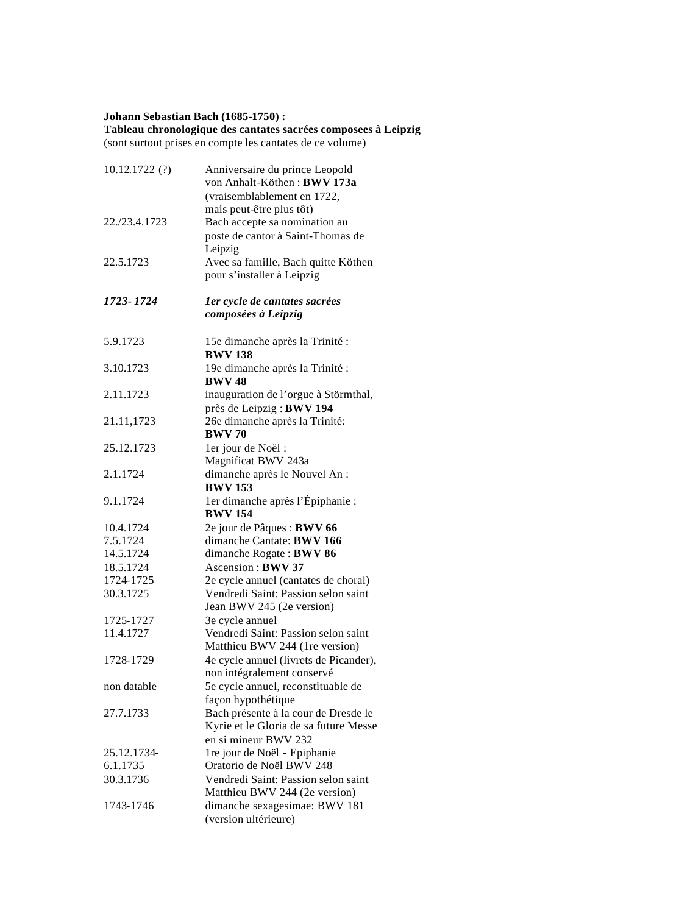# **Johann Sebastian Bach (1685-1750) :**

#### **Tableau chronologique des cantates sacrées composees à Leipzig** (sont surtout prises en compte les cantates de ce volume)

| 10.12.1722(?) | Anniversaire du prince Leopold<br>von Anhalt-Köthen: BWV 173a<br>(vraisemblablement en 1722.<br>mais peut-être plus tôt) |
|---------------|--------------------------------------------------------------------------------------------------------------------------|
| 22./23.4.1723 | Bach accepte sa nomination au                                                                                            |
|               | poste de cantor à Saint-Thomas de                                                                                        |
|               | Leipzig                                                                                                                  |
| 22.5.1723     | Avec sa famille, Bach quitte Köthen                                                                                      |
|               | pour s'installer à Leipzig                                                                                               |
|               |                                                                                                                          |
| 1723-1724     | ler cycle de cantates sacrées                                                                                            |
|               | composées à Leipzig                                                                                                      |
|               |                                                                                                                          |
| 5.9.1723      | 15e dimanche après la Trinité :                                                                                          |
|               | <b>BWV 138</b>                                                                                                           |
| 3.10.1723     | 19e dimanche après la Trinité :                                                                                          |
|               | <b>BWV 48</b>                                                                                                            |
| 2.11.1723     | inauguration de l'orgue à Störmthal,                                                                                     |
|               | près de Leipzig : BWV 194                                                                                                |
| 21.11,1723    | 26e dimanche après la Trinité:                                                                                           |
|               | <b>BWV 70</b>                                                                                                            |
| 25.12.1723    | 1er jour de Noël :                                                                                                       |
|               | Magnificat BWV 243a                                                                                                      |
| 2.1.1724      | dimanche après le Nouvel An :                                                                                            |
|               | <b>BWV 153</b>                                                                                                           |
| 9.1.1724      | 1er dimanche après l'Épiphanie :                                                                                         |
|               | <b>BWV 154</b>                                                                                                           |
| 10.4.1724     | 2e jour de Pâques : BWV 66                                                                                               |
| 7.5.1724      | dimanche Cantate: BWV 166                                                                                                |
| 14.5.1724     | dimanche Rogate: BWV 86                                                                                                  |
| 18.5.1724     | Ascension: BWV 37                                                                                                        |
| 1724-1725     | 2e cycle annuel (cantates de choral)                                                                                     |
| 30.3.1725     | Vendredi Saint: Passion selon saint                                                                                      |
|               | Jean BWV 245 (2e version)                                                                                                |
| 1725-1727     | 3e cycle annuel                                                                                                          |
| 11.4.1727     | Vendredi Saint: Passion selon saint                                                                                      |
|               | Matthieu BWV 244 (1re version)                                                                                           |
| 1728-1729     | 4e cycle annuel (livrets de Picander),                                                                                   |
|               | non intégralement conservé                                                                                               |
| non datable   | 5e cycle annuel, reconstituable de                                                                                       |
|               | façon hypothétique                                                                                                       |
| 27.7.1733     | Bach présente à la cour de Dresde le                                                                                     |
|               | Kyrie et le Gloria de sa future Messe                                                                                    |
|               | en si mineur BWV 232                                                                                                     |
| 25.12.1734-   | 1re jour de Noël - Epiphanie                                                                                             |
| 6.1.1735      | Oratorio de Noël BWV 248                                                                                                 |
| 30.3.1736     | Vendredi Saint: Passion selon saint                                                                                      |
|               | Matthieu BWV 244 (2e version)                                                                                            |
| 1743-1746     | dimanche sexagesimae: BWV 181                                                                                            |
|               | (version ultérieure)                                                                                                     |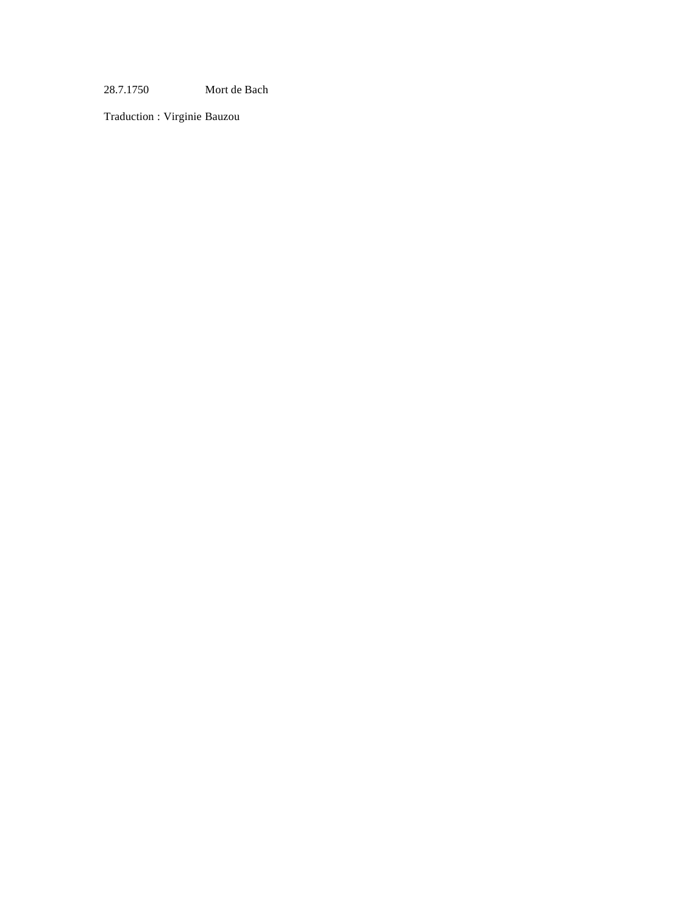28.7.1750 Mort de Bach

Traduction : Virginie Bauzou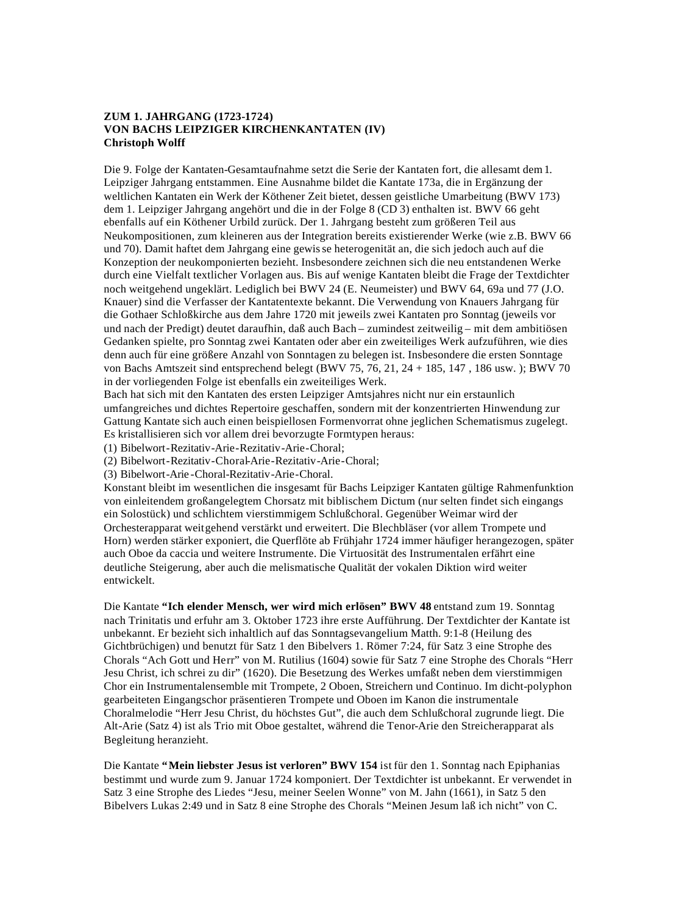# **ZUM 1. JAHRGANG (1723-1724) VON BACHS LEIPZIGER KIRCHENKANTATEN (IV) Christoph Wolff**

Die 9. Folge der Kantaten-Gesamtaufnahme setzt die Serie der Kantaten fort, die allesamt dem 1. Leipziger Jahrgang entstammen. Eine Ausnahme bildet die Kantate 173a, die in Ergänzung der weltlichen Kantaten ein Werk der Köthener Zeit bietet, dessen geistliche Umarbeitung (BWV 173) dem 1. Leipziger Jahrgang angehört und die in der Folge 8 (CD 3) enthalten ist. BWV 66 geht ebenfalls auf ein Köthener Urbild zurück. Der 1. Jahrgang besteht zum größeren Teil aus Neukompositionen, zum kleineren aus der Integration bereits existierender Werke (wie z.B. BWV 66 und 70). Damit haftet dem Jahrgang eine gewisse heterogenität an, die sich jedoch auch auf die Konzeption der neukomponierten bezieht. Insbesondere zeichnen sich die neu entstandenen Werke durch eine Vielfalt textlicher Vorlagen aus. Bis auf wenige Kantaten bleibt die Frage der Textdichter noch weitgehend ungeklärt. Lediglich bei BWV 24 (E. Neumeister) und BWV 64, 69a und 77 (J.O. Knauer) sind die Verfasser der Kantatentexte bekannt. Die Verwendung von Knauers Jahrgang für die Gothaer Schloßkirche aus dem Jahre 1720 mit jeweils zwei Kantaten pro Sonntag (jeweils vor und nach der Predigt) deutet daraufhin, daß auch Bach – zumindest zeitweilig – mit dem ambitiösen Gedanken spielte, pro Sonntag zwei Kantaten oder aber ein zweiteiliges Werk aufzuführen, wie dies denn auch für eine größere Anzahl von Sonntagen zu belegen ist. Insbesondere die ersten Sonntage von Bachs Amtszeit sind entsprechend belegt (BWV 75, 76, 21, 24 + 185, 147 , 186 usw. ); BWV 70 in der vorliegenden Folge ist ebenfalls ein zweiteiliges Werk.

Bach hat sich mit den Kantaten des ersten Leipziger Amtsjahres nicht nur ein erstaunlich umfangreiches und dichtes Repertoire geschaffen, sondern mit der konzentrierten Hinwendung zur Gattung Kantate sich auch einen beispiellosen Formenvorrat ohne jeglichen Schematismus zugelegt. Es kristallisieren sich vor allem drei bevorzugte Formtypen heraus:

(1) Bibelwort-Rezitativ-Arie-Rezitativ-Arie-Choral;

(2) Bibelwort-Rezitativ-Choral-Arie-Rezitativ-Arie-Choral;

(3) Bibelwort-Arie -Choral-Rezitativ-Arie-Choral.

Konstant bleibt im wesentlichen die insgesamt für Bachs Leipziger Kantaten gültige Rahmenfunktion von einleitendem großangelegtem Chorsatz mit biblischem Dictum (nur selten findet sich eingangs ein Solostück) und schlichtem vierstimmigem Schlußchoral. Gegenüber Weimar wird der Orchesterapparat weitgehend verstärkt und erweitert. Die Blechbläser (vor allem Trompete und Horn) werden stärker exponiert, die Querflöte ab Frühjahr 1724 immer häufiger herangezogen, später auch Oboe da caccia und weitere Instrumente. Die Virtuosität des Instrumentalen erfährt eine deutliche Steigerung, aber auch die melismatische Qualität der vokalen Diktion wird weiter entwickelt.

Die Kantate **"Ich elender Mensch, wer wird mich erlösen" BWV 48** entstand zum 19. Sonntag nach Trinitatis und erfuhr am 3. Oktober 1723 ihre erste Aufführung. Der Textdichter der Kantate ist unbekannt. Er bezieht sich inhaltlich auf das Sonntagsevangelium Matth. 9:1-8 (Heilung des Gichtbrüchigen) und benutzt für Satz 1 den Bibelvers 1. Römer 7:24, für Satz 3 eine Strophe des Chorals "Ach Gott und Herr" von M. Rutilius (1604) sowie für Satz 7 eine Strophe des Chorals "Herr Jesu Christ, ich schrei zu dir" (1620). Die Besetzung des Werkes umfaßt neben dem vierstimmigen Chor ein Instrumentalensemble mit Trompete, 2 Oboen, Streichern und Continuo. Im dicht-polyphon gearbeiteten Eingangschor präsentieren Trompete und Oboen im Kanon die instrumentale Choralmelodie "Herr Jesu Christ, du höchstes Gut", die auch dem Schlußchoral zugrunde liegt. Die Alt-Arie (Satz 4) ist als Trio mit Oboe gestaltet, während die Tenor-Arie den Streicherapparat als Begleitung heranzieht.

Die Kantate **"Mein liebster Jesus ist verloren" BWV 154** ist für den 1. Sonntag nach Epiphanias bestimmt und wurde zum 9. Januar 1724 komponiert. Der Textdichter ist unbekannt. Er verwendet in Satz 3 eine Strophe des Liedes "Jesu, meiner Seelen Wonne" von M. Jahn (1661), in Satz 5 den Bibelvers Lukas 2:49 und in Satz 8 eine Strophe des Chorals "Meinen Jesum laß ich nicht" von C.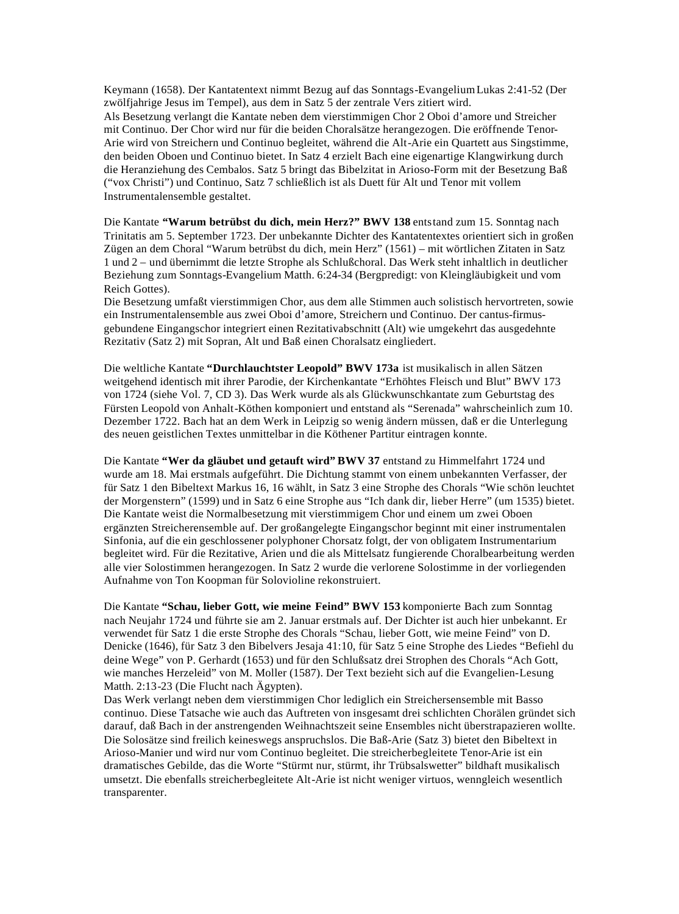Keymann (1658). Der Kantatentext nimmt Bezug auf das Sonntags-Evangelium Lukas 2:41-52 (Der zwölfjahrige Jesus im Tempel), aus dem in Satz 5 der zentrale Vers zitiert wird. Als Besetzung verlangt die Kantate neben dem vierstimmigen Chor 2 Oboi d'amore und Streicher mit Continuo. Der Chor wird nur für die beiden Choralsätze herangezogen. Die eröffnende Tenor-Arie wird von Streichern und Continuo begleitet, während die Alt-Arie ein Quartett aus Singstimme, den beiden Oboen und Continuo bietet. In Satz 4 erzielt Bach eine eigenartige Klangwirkung durch die Heranziehung des Cembalos. Satz 5 bringt das Bibelzitat in Arioso-Form mit der Besetzung Baß ("vox Christi") und Continuo, Satz 7 schließlich ist als Duett für Alt und Tenor mit vollem Instrumentalensemble gestaltet.

Die Kantate **"Warum betrübst du dich, mein Herz?" BWV 138** entstand zum 15. Sonntag nach Trinitatis am 5. September 1723. Der unbekannte Dichter des Kantatentextes orientiert sich in großen Zügen an dem Choral "Warum betrübst du dich, mein Herz" (1561) – mit wörtlichen Zitaten in Satz 1 und 2 – und übernimmt die letzte Strophe als Schlußchoral. Das Werk steht inhaltlich in deutlicher Beziehung zum Sonntags-Evangelium Matth. 6:24-34 (Bergpredigt: von Kleingläubigkeit und vom Reich Gottes).

Die Besetzung umfaßt vierstimmigen Chor, aus dem alle Stimmen auch solistisch hervortreten, sowie ein Instrumentalensemble aus zwei Oboi d'amore, Streichern und Continuo. Der cantus-firmusgebundene Eingangschor integriert einen Rezitativabschnitt (Alt) wie umgekehrt das ausgedehnte Rezitativ (Satz 2) mit Sopran, Alt und Baß einen Choralsatz eingliedert.

Die weltliche Kantate **"Durchlauchtster Leopold" BWV 173a** ist musikalisch in allen Sätzen weitgehend identisch mit ihrer Parodie, der Kirchenkantate "Erhöhtes Fleisch und Blut" BWV 173 von 1724 (siehe Vol. 7, CD 3). Das Werk wurde als als Glückwunschkantate zum Geburtstag des Fürsten Leopold von Anhalt-Köthen komponiert und entstand als "Serenada" wahrscheinlich zum 10. Dezember 1722. Bach hat an dem Werk in Leipzig so wenig ändern müssen, daß er die Unterlegung des neuen geistlichen Textes unmittelbar in die Köthener Partitur eintragen konnte.

Die Kantate **"Wer da gläubet und getauft wird" BWV 37** entstand zu Himmelfahrt 1724 und wurde am 18. Mai erstmals aufgeführt. Die Dichtung stammt von einem unbekannten Verfasser, der für Satz 1 den Bibeltext Markus 16, 16 wählt, in Satz 3 eine Strophe des Chorals "Wie schön leuchtet der Morgenstern" (1599) und in Satz 6 eine Strophe aus "Ich dank dir, lieber Herre" (um 1535) bietet. Die Kantate weist die Normalbesetzung mit vierstimmigem Chor und einem um zwei Oboen ergänzten Streicherensemble auf. Der großangelegte Eingangschor beginnt mit einer instrumentalen Sinfonia, auf die ein geschlossener polyphoner Chorsatz folgt, der von obligatem Instrumentarium begleitet wird. Für die Rezitative, Arien und die als Mittelsatz fungierende Choralbearbeitung werden alle vier Solostimmen herangezogen. In Satz 2 wurde die verlorene Solostimme in der vorliegenden Aufnahme von Ton Koopman für Solovioline rekonstruiert.

Die Kantate **"Schau, lieber Gott, wie meine Feind" BWV 153** komponierte Bach zum Sonntag nach Neujahr 1724 und führte sie am 2. Januar erstmals auf. Der Dichter ist auch hier unbekannt. Er verwendet für Satz 1 die erste Strophe des Chorals "Schau, lieber Gott, wie meine Feind" von D. Denicke (1646), für Satz 3 den Bibelvers Jesaja 41:10, für Satz 5 eine Strophe des Liedes "Befiehl du deine Wege" von P. Gerhardt (1653) und für den Schlußsatz drei Strophen des Chorals "Ach Gott, wie manches Herzeleid" von M. Moller (1587). Der Text bezieht sich auf die Evangelien-Lesung Matth. 2:13-23 (Die Flucht nach Ägypten).

Das Werk verlangt neben dem vierstimmigen Chor lediglich ein Streichersensemble mit Basso continuo. Diese Tatsache wie auch das Auftreten von insgesamt drei schlichten Chorälen gründet sich darauf, daß Bach in der anstrengenden Weihnachtszeit seine Ensembles nicht überstrapazieren wollte. Die Solosätze sind freilich keineswegs anspruchslos. Die Baß-Arie (Satz 3) bietet den Bibeltext in Arioso-Manier und wird nur vom Continuo begleitet. Die streicherbegleitete Tenor-Arie ist ein dramatisches Gebilde, das die Worte "Stürmt nur, stürmt, ihr Trübsalswetter" bildhaft musikalisch umsetzt. Die ebenfalls streicherbegleitete Alt-Arie ist nicht weniger virtuos, wenngleich wesentlich transparenter.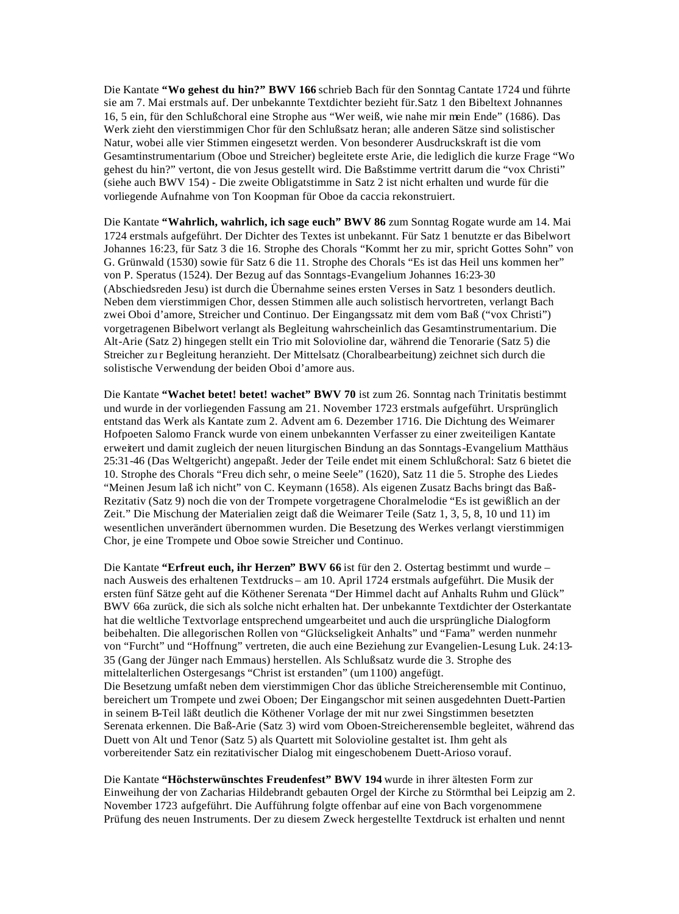Die Kantate **"Wo gehest du hin?" BWV 166** schrieb Bach für den Sonntag Cantate 1724 und führte sie am 7. Mai erstmals auf. Der unbekannte Textdichter bezieht für.Satz 1 den Bibeltext Johnannes 16, 5 ein, für den Schlußchoral eine Strophe aus "Wer weiß, wie nahe mir mein Ende" (1686). Das Werk zieht den vierstimmigen Chor für den Schlußsatz heran; alle anderen Sätze sind solistischer Natur, wobei alle vier Stimmen eingesetzt werden. Von besonderer Ausdruckskraft ist die vom Gesamtinstrumentarium (Oboe und Streicher) begleitete erste Arie, die lediglich die kurze Frage "Wo gehest du hin?" vertont, die von Jesus gestellt wird. Die Baßstimme vertritt darum die "vox Christi" (siehe auch BWV 154) - Die zweite Obligatstimme in Satz 2 ist nicht erhalten und wurde für die vorliegende Aufnahme von Ton Koopman für Oboe da caccia rekonstruiert.

Die Kantate **"Wahrlich, wahrlich, ich sage euch" BWV 86** zum Sonntag Rogate wurde am 14. Mai 1724 erstmals aufgeführt. Der Dichter des Textes ist unbekannt. Für Satz 1 benutzte er das Bibelwort Johannes 16:23, für Satz 3 die 16. Strophe des Chorals "Kommt her zu mir, spricht Gottes Sohn" von G. Grünwald (1530) sowie für Satz 6 die 11. Strophe des Chorals "Es ist das Heil uns kommen her" von P. Speratus (1524). Der Bezug auf das Sonntags-Evangelium Johannes 16:23-30 (Abschiedsreden Jesu) ist durch die Übernahme seines ersten Verses in Satz 1 besonders deutlich. Neben dem vierstimmigen Chor, dessen Stimmen alle auch solistisch hervortreten, verlangt Bach zwei Oboi d'amore, Streicher und Continuo. Der Eingangssatz mit dem vom Baß ("vox Christi") vorgetragenen Bibelwort verlangt als Begleitung wahrscheinlich das Gesamtinstrumentarium. Die Alt-Arie (Satz 2) hingegen stellt ein Trio mit Solovioline dar, während die Tenorarie (Satz 5) die Streicher zu r Begleitung heranzieht. Der Mittelsatz (Choralbearbeitung) zeichnet sich durch die solistische Verwendung der beiden Oboi d'amore aus.

Die Kantate **"Wachet betet! betet! wachet" BWV 70** ist zum 26. Sonntag nach Trinitatis bestimmt und wurde in der vorliegenden Fassung am 21. November 1723 erstmals aufgeführt. Ursprünglich entstand das Werk als Kantate zum 2. Advent am 6. Dezember 1716. Die Dichtung des Weimarer Hofpoeten Salomo Franck wurde von einem unbekannten Verfasser zu einer zweiteiligen Kantate erweitert und damit zugleich der neuen liturgischen Bindung an das Sonntags-Evangelium Matthäus 25:31-46 (Das Weltgericht) angepaßt. Jeder der Teile endet mit einem Schlußchoral: Satz 6 bietet die 10. Strophe des Chorals "Freu dich sehr, o meine Seele" (1620), Satz 11 die 5. Strophe des Liedes "Meinen Jesum laß ich nicht" von C. Keymann (1658). Als eigenen Zusatz Bachs bringt das Baß-Rezitativ (Satz 9) noch die von der Trompete vorgetragene Choralmelodie "Es ist gewißlich an der Zeit." Die Mischung der Materialien zeigt daß die Weimarer Teile (Satz 1, 3, 5, 8, 10 und 11) im wesentlichen unverändert übernommen wurden. Die Besetzung des Werkes verlangt vierstimmigen Chor, je eine Trompete und Oboe sowie Streicher und Continuo.

Die Kantate **"Erfreut euch, ihr Herzen" BWV 66** ist für den 2. Ostertag bestimmt und wurde – nach Ausweis des erhaltenen Textdrucks – am 10. April 1724 erstmals aufgeführt. Die Musik der ersten fünf Sätze geht auf die Köthener Serenata "Der Himmel dacht auf Anhalts Ruhm und Glück" BWV 66a zurück, die sich als solche nicht erhalten hat. Der unbekannte Textdichter der Osterkantate hat die weltliche Textvorlage entsprechend umgearbeitet und auch die ursprüngliche Dialogform beibehalten. Die allegorischen Rollen von "Glückseligkeit Anhalts" und "Fama" werden nunmehr von "Furcht" und "Hoffnung" vertreten, die auch eine Beziehung zur Evangelien-Lesung Luk. 24:13- 35 (Gang der Jünger nach Emmaus) herstellen. Als Schlußsatz wurde die 3. Strophe des mittelalterlichen Ostergesangs "Christ ist erstanden" (um 1100) angefügt. Die Besetzung umfaßt neben dem vierstimmigen Chor das übliche Streicherensemble mit Continuo, bereichert um Trompete und zwei Oboen; Der Eingangschor mit seinen ausgedehnten Duett-Partien in seinem B-Teil läßt deutlich die Köthener Vorlage der mit nur zwei Singstimmen besetzten Serenata erkennen. Die Baß-Arie (Satz 3) wird vom Oboen-Streicherensemble begleitet, während das Duett von Alt und Tenor (Satz 5) als Quartett mit Solovioline gestaltet ist. Ihm geht als vorbereitender Satz ein rezitativischer Dialog mit eingeschobenem Duett-Arioso vorauf.

Die Kantate **"Höchsterwünschtes Freudenfest" BWV 194** wurde in ihrer ältesten Form zur Einweihung der von Zacharias Hildebrandt gebauten Orgel der Kirche zu Störmthal bei Leipzig am 2. November 1723 aufgeführt. Die Aufführung folgte offenbar auf eine von Bach vorgenommene Prüfung des neuen Instruments. Der zu diesem Zweck hergestellte Textdruck ist erhalten und nennt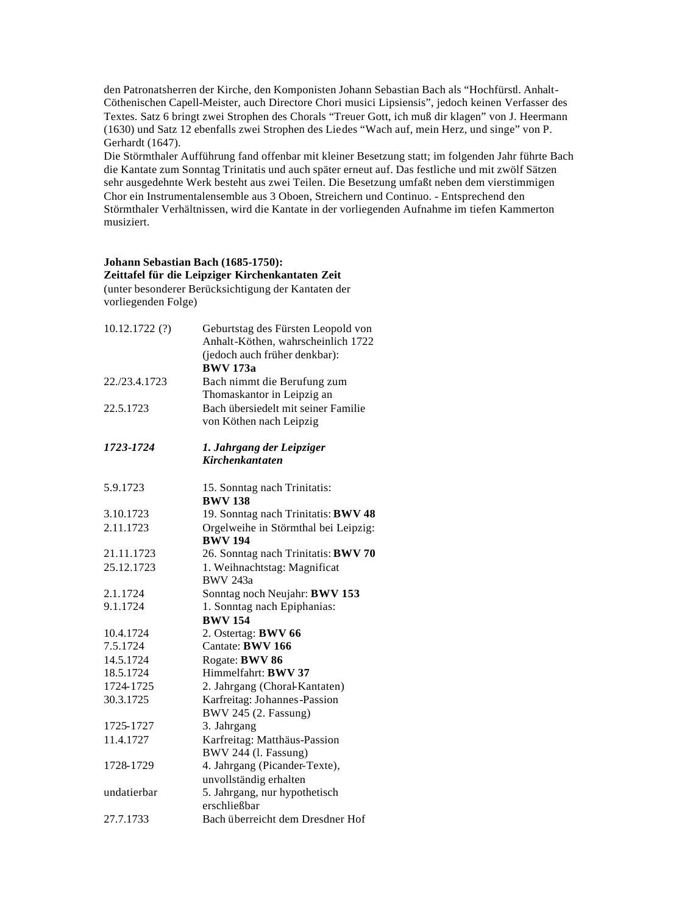den Patronatsherren der Kirche, den Komponisten Johann Sebastian Bach als "Hochfürstl. Anhalt-Cöthenischen Capell-Meister, auch Directore Chori musici Lipsiensis", jedoch keinen Verfasser des Textes. Satz 6 bringt zwei Strophen des Chorals "Treuer Gott, ich muß dir klagen" von J. Heermann (1630) und Satz 12 ebenfalls zwei Strophen des Liedes "Wach auf, mein Herz, und singe" von P. Gerhardt (1647).

Die Störmthaler Aufführung fand offenbar mit kleiner Besetzung statt; im folgenden Jahr führte Bach die Kantate zum Sonntag Trinitatis und auch später erneut auf. Das festliche und mit zwölf Sätzen sehr ausgedehnte Werk besteht aus zwei Teilen. Die Besetzung umfaßt neben dem vierstimmigen Chor ein Instrumentalensemble aus 3 Oboen, Streichern und Continuo. - Entsprechend den Störmthaler Verhältnissen, wird die Kantate in der vorliegenden Aufnahme im tiefen Kammerton musiziert.

# **Johann Sebastian Bach (1685-1750):**

**Zeittafel für die Leipziger Kirchenkantaten Zeit**

(unter besonderer Berücksichtigung der Kantaten der vorliegenden Folge)

| 10.12.1722(?) | Geburtstag des Fürsten Leopold von<br>Anhalt-Köthen, wahrscheinlich 1722<br>(jedoch auch früher denkbar):<br><b>BWV 173a</b> |
|---------------|------------------------------------------------------------------------------------------------------------------------------|
| 22./23.4.1723 | Bach nimmt die Berufung zum<br>Thomaskantor in Leipzig an                                                                    |
| 22.5.1723     | Bach übersiedelt mit seiner Familie<br>von Köthen nach Leipzig                                                               |
| 1723-1724     | 1. Jahrgang der Leipziger<br><b>Kirchenkantaten</b>                                                                          |
| 5.9.1723      | 15. Sonntag nach Trinitatis:<br><b>BWV 138</b>                                                                               |
| 3.10.1723     | 19. Sonntag nach Trinitatis: BWV 48                                                                                          |
| 2.11.1723     | Orgelweihe in Störmthal bei Leipzig:<br><b>BWV 194</b>                                                                       |
| 21.11.1723    | 26. Sonntag nach Trinitatis: BWV 70                                                                                          |
| 25.12.1723    | 1. Weihnachtstag: Magnificat<br><b>BWV 243a</b>                                                                              |
| 2.1.1724      | Sonntag noch Neujahr: BWV 153                                                                                                |
| 9.1.1724      | 1. Sonntag nach Epiphanias:<br><b>BWV 154</b>                                                                                |
| 10.4.1724     | 2. Ostertag: BWV 66                                                                                                          |
| 7.5.1724      | Cantate: BWV 166                                                                                                             |
| 14.5.1724     | Rogate: BWV 86                                                                                                               |
| 18.5.1724     | Himmelfahrt: BWV 37                                                                                                          |
| 1724-1725     | 2. Jahrgang (Choral-Kantaten)                                                                                                |
| 30.3.1725     | Karfreitag: Johannes-Passion<br>BWV 245 (2. Fassung)                                                                         |
| 1725-1727     | 3. Jahrgang                                                                                                                  |
| 11.4.1727     | Karfreitag: Matthäus-Passion<br>BWV 244 (l. Fassung)                                                                         |
| 1728-1729     | 4. Jahrgang (Picander-Texte),<br>unvollständig erhalten                                                                      |
| undatierbar   | 5. Jahrgang, nur hypothetisch<br>erschließbar                                                                                |
| 27.7.1733     | Bach überreicht dem Dresdner Hof                                                                                             |